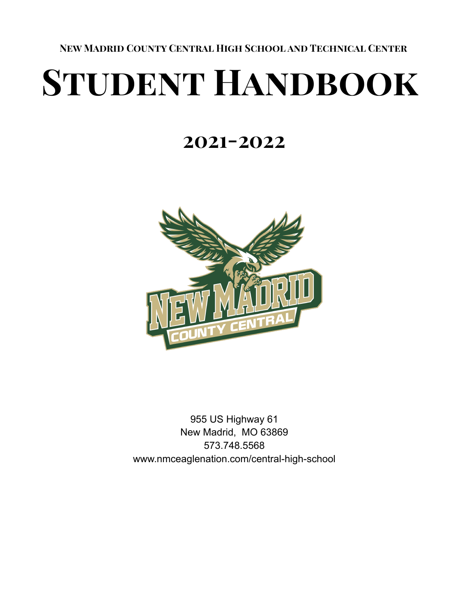**New Madrid County Central High School and Technical Center**

# **Student Handbook**

# **2021-2022**



955 US Highway 61 New Madrid, MO 63869 573.748.5568 www.nmceaglenation.com/central-high-school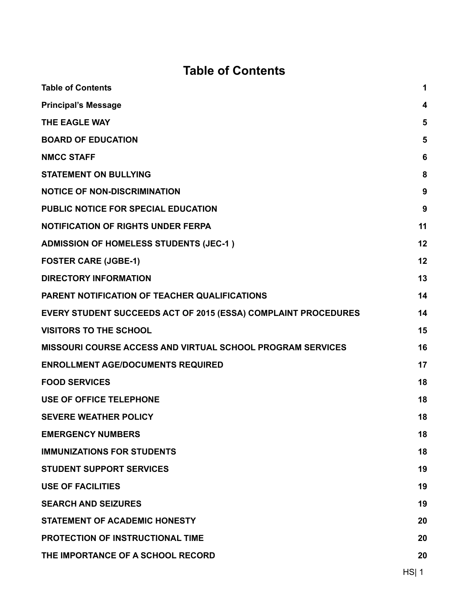# **Table of Contents**

<span id="page-1-0"></span>

| <b>Table of Contents</b>                                              | 1  |
|-----------------------------------------------------------------------|----|
| <b>Principal's Message</b>                                            | 4  |
| THE EAGLE WAY                                                         | 5  |
| <b>BOARD OF EDUCATION</b>                                             | 5  |
| <b>NMCC STAFF</b>                                                     | 6  |
| <b>STATEMENT ON BULLYING</b>                                          | 8  |
| <b>NOTICE OF NON-DISCRIMINATION</b>                                   | 9  |
| <b>PUBLIC NOTICE FOR SPECIAL EDUCATION</b>                            | 9  |
| <b>NOTIFICATION OF RIGHTS UNDER FERPA</b>                             | 11 |
| <b>ADMISSION OF HOMELESS STUDENTS (JEC-1)</b>                         | 12 |
| <b>FOSTER CARE (JGBE-1)</b>                                           | 12 |
| <b>DIRECTORY INFORMATION</b>                                          | 13 |
| PARENT NOTIFICATION OF TEACHER QUALIFICATIONS                         | 14 |
| <b>EVERY STUDENT SUCCEEDS ACT OF 2015 (ESSA) COMPLAINT PROCEDURES</b> | 14 |
| <b>VISITORS TO THE SCHOOL</b>                                         | 15 |
| <b>MISSOURI COURSE ACCESS AND VIRTUAL SCHOOL PROGRAM SERVICES</b>     | 16 |
| <b>ENROLLMENT AGE/DOCUMENTS REQUIRED</b>                              | 17 |
| <b>FOOD SERVICES</b>                                                  | 18 |
| <b>USE OF OFFICE TELEPHONE</b>                                        | 18 |
| <b>SEVERE WEATHER POLICY</b>                                          | 18 |
| <b>EMERGENCY NUMBERS</b>                                              | 18 |
| <b>IMMUNIZATIONS FOR STUDENTS</b>                                     | 18 |
| <b>STUDENT SUPPORT SERVICES</b>                                       | 19 |
| <b>USE OF FACILITIES</b>                                              | 19 |
| <b>SEARCH AND SEIZURES</b>                                            | 19 |
| <b>STATEMENT OF ACADEMIC HONESTY</b>                                  | 20 |
| <b>PROTECTION OF INSTRUCTIONAL TIME</b>                               | 20 |
| THE IMPORTANCE OF A SCHOOL RECORD                                     | 20 |
|                                                                       |    |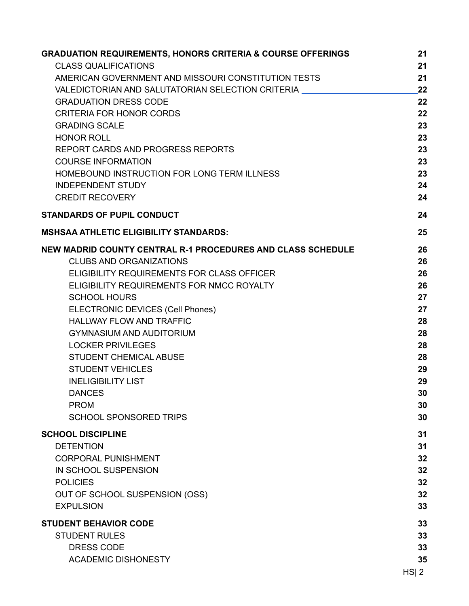| <b>GRADUATION REQUIREMENTS, HONORS CRITERIA &amp; COURSE OFFERINGS</b> | 21       |
|------------------------------------------------------------------------|----------|
| <b>CLASS QUALIFICATIONS</b>                                            | 21       |
| AMERICAN GOVERNMENT AND MISSOURI CONSTITUTION TESTS                    | 21       |
| VALEDICTORIAN AND SALUTATORIAN SELECTION CRITERIA                      | 22       |
| <b>GRADUATION DRESS CODE</b>                                           | 22       |
| <b>CRITERIA FOR HONOR CORDS</b>                                        | 22       |
| <b>GRADING SCALE</b>                                                   | 23       |
| <b>HONOR ROLL</b>                                                      | 23       |
| REPORT CARDS AND PROGRESS REPORTS                                      | 23       |
| <b>COURSE INFORMATION</b>                                              | 23       |
| HOMEBOUND INSTRUCTION FOR LONG TERM ILLNESS                            | 23       |
| <b>INDEPENDENT STUDY</b>                                               | 24       |
| <b>CREDIT RECOVERY</b>                                                 | 24       |
| <b>STANDARDS OF PUPIL CONDUCT</b>                                      | 24       |
| <b>MSHSAA ATHLETIC ELIGIBILITY STANDARDS:</b>                          | 25       |
| <b>NEW MADRID COUNTY CENTRAL R-1 PROCEDURES AND CLASS SCHEDULE</b>     | 26       |
| <b>CLUBS AND ORGANIZATIONS</b>                                         | 26       |
| ELIGIBILITY REQUIREMENTS FOR CLASS OFFICER                             | 26       |
| ELIGIBILITY REQUIREMENTS FOR NMCC ROYALTY                              | 26       |
| <b>SCHOOL HOURS</b>                                                    | 27       |
| <b>ELECTRONIC DEVICES (Cell Phones)</b>                                | 27       |
| <b>HALLWAY FLOW AND TRAFFIC</b>                                        | 28       |
| <b>GYMNASIUM AND AUDITORIUM</b>                                        | 28       |
| <b>LOCKER PRIVILEGES</b>                                               | 28       |
| <b>STUDENT CHEMICAL ABUSE</b>                                          | 28       |
| <b>STUDENT VEHICLES</b>                                                | 29       |
| <b>INELIGIBILITY LIST</b>                                              | 29       |
| <b>DANCES</b>                                                          | 30       |
| <b>PROM</b>                                                            | 30       |
| <b>SCHOOL SPONSORED TRIPS</b>                                          | 30       |
| <b>SCHOOL DISCIPLINE</b>                                               | 31       |
| <b>DETENTION</b>                                                       | 31       |
| <b>CORPORAL PUNISHMENT</b>                                             | 32       |
| IN SCHOOL SUSPENSION                                                   | 32       |
| <b>POLICIES</b>                                                        | 32       |
| OUT OF SCHOOL SUSPENSION (OSS)                                         | 32       |
| <b>EXPULSION</b>                                                       | 33       |
| <b>STUDENT BEHAVIOR CODE</b>                                           | 33       |
| <b>STUDENT RULES</b>                                                   | 33       |
| <b>DRESS CODE</b>                                                      | 33       |
| <b>ACADEMIC DISHONESTY</b>                                             | 35       |
|                                                                        | $HS$   2 |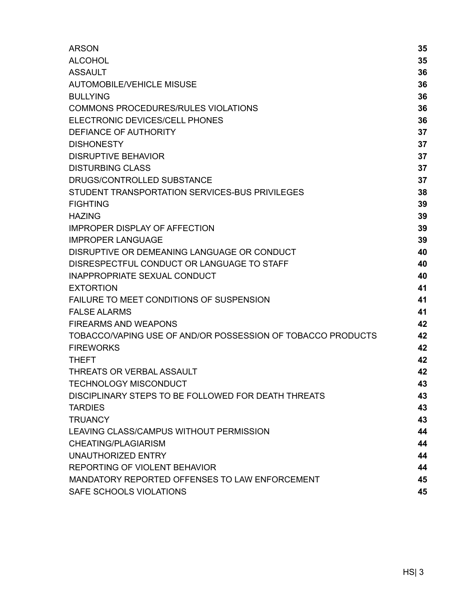| <b>ARSON</b>                                                | 35 |
|-------------------------------------------------------------|----|
| <b>ALCOHOL</b>                                              | 35 |
| <b>ASSAULT</b>                                              | 36 |
| <b>AUTOMOBILE/VEHICLE MISUSE</b>                            | 36 |
| <b>BULLYING</b>                                             | 36 |
| <b>COMMONS PROCEDURES/RULES VIOLATIONS</b>                  | 36 |
| ELECTRONIC DEVICES/CELL PHONES                              | 36 |
| DEFIANCE OF AUTHORITY                                       | 37 |
| <b>DISHONESTY</b>                                           | 37 |
| <b>DISRUPTIVE BEHAVIOR</b>                                  | 37 |
| <b>DISTURBING CLASS</b>                                     | 37 |
| DRUGS/CONTROLLED SUBSTANCE                                  | 37 |
| STUDENT TRANSPORTATION SERVICES-BUS PRIVILEGES              | 38 |
| <b>FIGHTING</b>                                             | 39 |
| <b>HAZING</b>                                               | 39 |
| <b>IMPROPER DISPLAY OF AFFECTION</b>                        | 39 |
| <b>IMPROPER LANGUAGE</b>                                    | 39 |
| DISRUPTIVE OR DEMEANING LANGUAGE OR CONDUCT                 | 40 |
| DISRESPECTFUL CONDUCT OR LANGUAGE TO STAFF                  | 40 |
| <b>INAPPROPRIATE SEXUAL CONDUCT</b>                         | 40 |
| <b>EXTORTION</b>                                            | 41 |
| <b>FAILURE TO MEET CONDITIONS OF SUSPENSION</b>             | 41 |
| <b>FALSE ALARMS</b>                                         | 41 |
| <b>FIREARMS AND WEAPONS</b>                                 | 42 |
| TOBACCO/VAPING USE OF AND/OR POSSESSION OF TOBACCO PRODUCTS | 42 |
| <b>FIREWORKS</b>                                            | 42 |
| <b>THEFT</b>                                                | 42 |
| <b>THREATS OR VERBAL ASSAULT</b>                            | 42 |
| <b>TECHNOLOGY MISCONDUCT</b>                                | 43 |
| DISCIPLINARY STEPS TO BE FOLLOWED FOR DEATH THREATS         | 43 |
| <b>TARDIES</b>                                              | 43 |
| <b>TRUANCY</b>                                              | 43 |
| LEAVING CLASS/CAMPUS WITHOUT PERMISSION                     | 44 |
| <b>CHEATING/PLAGIARISM</b>                                  | 44 |
| UNAUTHORIZED ENTRY                                          | 44 |
| REPORTING OF VIOLENT BEHAVIOR                               | 44 |
| MANDATORY REPORTED OFFENSES TO LAW ENFORCEMENT              | 45 |
| SAFE SCHOOLS VIOLATIONS                                     | 45 |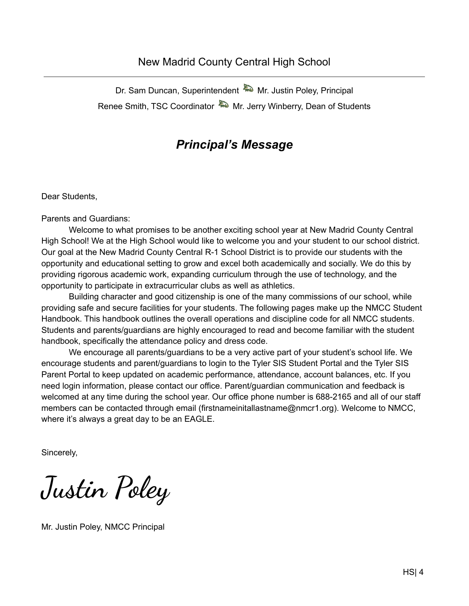#### New Madrid County Central High School

Dr. Sam Duncan, Superintendent **MR** Mr. Justin Poley, Principal Renee Smith, TSC Coordinator MR. Jerry Winberry, Dean of Students

#### *Principal's Message*

<span id="page-4-0"></span>Dear Students,

Parents and Guardians:

Welcome to what promises to be another exciting school year at New Madrid County Central High School! We at the High School would like to welcome you and your student to our school district. Our goal at the New Madrid County Central R-1 School District is to provide our students with the opportunity and educational setting to grow and excel both academically and socially. We do this by providing rigorous academic work, expanding curriculum through the use of technology, and the opportunity to participate in extracurricular clubs as well as athletics.

Building character and good citizenship is one of the many commissions of our school, while providing safe and secure facilities for your students. The following pages make up the NMCC Student Handbook. This handbook outlines the overall operations and discipline code for all NMCC students. Students and parents/guardians are highly encouraged to read and become familiar with the student handbook, specifically the attendance policy and dress code.

We encourage all parents/guardians to be a very active part of your student's school life. We encourage students and parent/guardians to login to the Tyler SIS Student Portal and the Tyler SIS Parent Portal to keep updated on academic performance, attendance, account balances, etc. If you need login information, please contact our office. Parent/guardian communication and feedback is welcomed at any time during the school year. Our office phone number is 688-2165 and all of our staff members can be contacted through email (firstnameinitallastname@nmcr1.org). Welcome to NMCC, where it's always a great day to be an EAGLE.

Sincerely,

**Justin Poley**

Mr. Justin Poley, NMCC Principal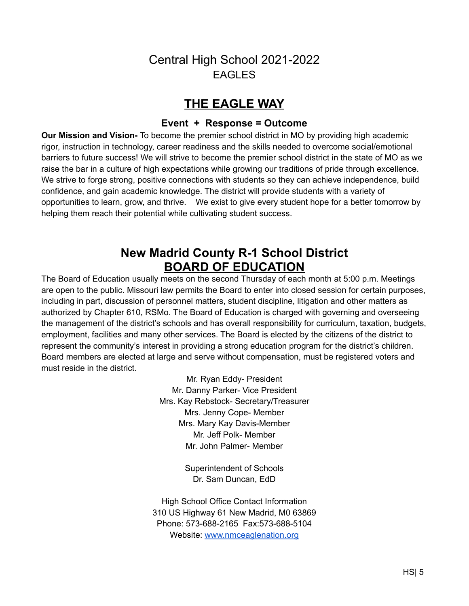### Central High School 2021-2022 EAGLES

#### **THE EAGLE WAY**

#### **Event + Response = Outcome**

<span id="page-5-0"></span>**Our Mission and Vision-** To become the premier school district in MO by providing high academic rigor, instruction in technology, career readiness and the skills needed to overcome social/emotional barriers to future success! We will strive to become the premier school district in the state of MO as we raise the bar in a culture of high expectations while growing our traditions of pride through excellence. We strive to forge strong, positive connections with students so they can achieve independence, build confidence, and gain academic knowledge. The district will provide students with a variety of opportunities to learn, grow, and thrive. We exist to give every student hope for a better tomorrow by helping them reach their potential while cultivating student success.

# **New Madrid County R-1 School District BOARD OF EDUCATION**

<span id="page-5-1"></span>The Board of Education usually meets on the second Thursday of each month at 5:00 p.m. Meetings are open to the public. Missouri law permits the Board to enter into closed session for certain purposes, including in part, discussion of personnel matters, student discipline, litigation and other matters as authorized by Chapter 610, RSMo. The Board of Education is charged with governing and overseeing the management of the district's schools and has overall responsibility for curriculum, taxation, budgets, employment, facilities and many other services. The Board is elected by the citizens of the district to represent the community's interest in providing a strong education program for the district's children. Board members are elected at large and serve without compensation, must be registered voters and must reside in the district.

> Mr. Ryan Eddy- President Mr. Danny Parker- Vice President Mrs. Kay Rebstock- Secretary/Treasurer Mrs. Jenny Cope- Member Mrs. Mary Kay Davis-Member Mr. Jeff Polk- Member Mr. John Palmer- Member

> > Superintendent of Schools Dr. Sam Duncan, EdD

High School Office Contact Information 310 US Highway 61 New Madrid, M0 63869 Phone: 573-688-2165 Fax:573-688-5104 Website: [www.nmceaglenation.org](http://www.nmceaglenation.org)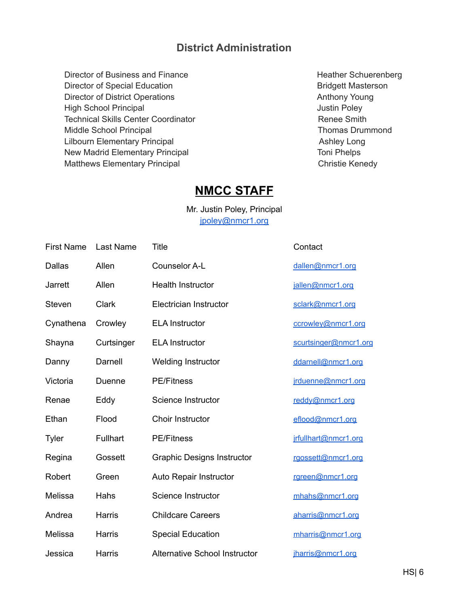#### **District Administration**

Director of Business and Finance **Heather Schuerenberg Heather Schuerenberg** Director of Special Education **Bridgett Masterson** Director of District Operations **Anthony Young** High School Principal **Accord Principal Accord Principal** Justin Poley Technical Skills Center Coordinator **Renee Smith** Middle School Principal Niddle School Principal Thomas Drummond Lilbourn Elementary Principal **Ashley Long** Ashley Long New Madrid Elementary Principal Toni Phelps Matthews Elementary Principal Christie Kenedy

#### **NMCC STAFF**

Mr. Justin Poley, Principal [jpoley@nmcr1.org](mailto:jpoley@newmadridco.k12.mo.us)

| <b>First Name</b> | Last Name       | Title                                | Contact               |
|-------------------|-----------------|--------------------------------------|-----------------------|
| <b>Dallas</b>     | Allen           | Counselor A-L                        | dallen@nmcr1.org      |
| <b>Jarrett</b>    | Allen           | <b>Health Instructor</b>             | jallen@nmcr1.org      |
| Steven            | Clark           | Electrician Instructor               | sclark@nmcr1.org      |
| Cynathena         | Crowley         | <b>ELA Instructor</b>                | ccrowley@nmcr1.org    |
| Shayna            | Curtsinger      | <b>ELA Instructor</b>                | scurtsinger@nmcr1.org |
| Danny             | Darnell         | Welding Instructor                   | ddarnell@nmcr1.org    |
| Victoria          | Duenne          | <b>PE/Fitness</b>                    | jrduenne@nmcr1.org    |
| Renae             | Eddy            | Science Instructor                   | reddy@nmcr1.org       |
| Ethan             | Flood           | Choir Instructor                     | eflood@nmcr1.org      |
| Tyler             | <b>Fullhart</b> | <b>PE/Fitness</b>                    | jrfullhart@nmcr1.org  |
| Regina            | Gossett         | <b>Graphic Designs Instructor</b>    | rgossett@nmcr1.org    |
| Robert            | Green           | Auto Repair Instructor               | rgreen@nmcr1.org      |
| Melissa           | Hahs            | Science Instructor                   | mhahs@nmcr1.org       |
| Andrea            | Harris          | <b>Childcare Careers</b>             | aharris@nmcr1.org     |
| Melissa           | Harris          | <b>Special Education</b>             | mharris@nmcr1.org     |
| Jessica           | Harris          | <b>Alternative School Instructor</b> | iharris@nmcr1.org     |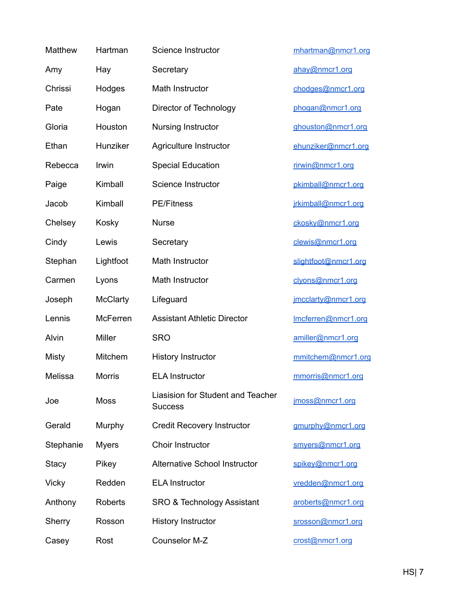| Matthew      | Hartman         | Science Instructor                                  | mhartman@nmcr1.org   |
|--------------|-----------------|-----------------------------------------------------|----------------------|
| Amy          | Hay             | Secretary                                           | ahay@nmcr1.org       |
| Chrissi      | Hodges          | Math Instructor                                     | chodges@nmcr1.org    |
| Pate         | Hogan           | Director of Technology                              | phogan@nmcr1.org     |
| Gloria       | Houston         | Nursing Instructor                                  | ghouston@nmcr1.org   |
| Ethan        | Hunziker        | Agriculture Instructor                              | ehunziker@nmcr1.org  |
| Rebecca      | Irwin           | <b>Special Education</b>                            | rirwin@nmcr1.org     |
| Paige        | Kimball         | Science Instructor                                  | pkimball@nmcr1.org   |
| Jacob        | Kimball         | <b>PE/Fitness</b>                                   | jrkimball@nmcr1.org  |
| Chelsey      | Kosky           | <b>Nurse</b>                                        | ckosky@nmcr1.org     |
| Cindy        | Lewis           | Secretary                                           | clewis@nmcr1.org     |
| Stephan      | Lightfoot       | Math Instructor                                     | slightfoot@nmcr1.org |
| Carmen       | Lyons           | Math Instructor                                     | clyons@nmcr1.org     |
| Joseph       | <b>McClarty</b> | Lifeguard                                           | jmcclarty@nmcr1.org  |
| Lennis       | <b>McFerren</b> | <b>Assistant Athletic Director</b>                  | Imcferren@nmcr1.org  |
| Alvin        | <b>Miller</b>   | <b>SRO</b>                                          | amiller@nmcr1.org    |
| Misty        | Mitchem         | <b>History Instructor</b>                           | mmitchem@nmcr1.org   |
| Melissa      | <b>Morris</b>   | <b>ELA Instructor</b>                               | mmorris@nmcr1.org    |
| Joe          | <b>Moss</b>     | Liasision for Student and Teacher<br><b>Success</b> | jmoss@nmcr1.org      |
| Gerald       | Murphy          | <b>Credit Recovery Instructor</b>                   | gmurphy@nmcr1.org    |
| Stephanie    | <b>Myers</b>    | Choir Instructor                                    | smyers@nmcr1.org     |
| Stacy        | Pikey           | <b>Alternative School Instructor</b>                | spikey@nmcr1.org     |
| <b>Vicky</b> | Redden          | <b>ELA Instructor</b>                               | vredden@nmcr1.org    |
| Anthony      | Roberts         | <b>SRO &amp; Technology Assistant</b>               | aroberts@nmcr1.org   |
| Sherry       | Rosson          | <b>History Instructor</b>                           | srosson@nmcr1.org    |
| Casey        | Rost            | Counselor M-Z                                       | crost@nmcr1.org      |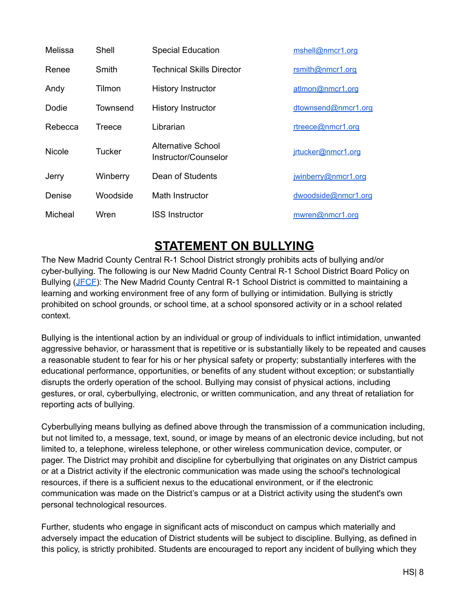| Melissa       | Shell    | <b>Special Education</b>                          | mshell@nmcr1.org    |
|---------------|----------|---------------------------------------------------|---------------------|
| Renee         | Smith    | <b>Technical Skills Director</b>                  | rsmith@nmcr1.org    |
| Andy          | Tilmon   | <b>History Instructor</b>                         | atlmon@nmcr1.org    |
| Dodie         | Townsend | <b>History Instructor</b>                         | dtownsend@nmcr1.org |
| Rebecca       | Treece   | Librarian                                         | rtreece@nmcr1.org   |
| <b>Nicole</b> | Tucker   | <b>Alternative School</b><br>Instructor/Counselor | irtucker@nmcr1.org  |
| Jerry         | Winberry | Dean of Students                                  | jwinberry@nmcr1.org |
| Denise        | Woodside | Math Instructor                                   | dwoodside@nmcr1.org |
| Micheal       | Wren     | <b>ISS Instructor</b>                             | mwren@nmcr1.org     |

# **STATEMENT ON BULLYING**

<span id="page-8-0"></span>The New Madrid County Central R-1 School District strongly prohibits acts of bullying and/or cyber-bullying. The following is our New Madrid County Central R-1 School District Board Policy on Bullying [\(JFCF](https://simbli.eboardsolutions.com/Policy/ViewPolicy.aspx?S=327&revid=PAm3O5D5hFplussP7plusBkislshfzg==&PG=6&st=bullying&mt=Exact)): The New Madrid County Central R-1 School District is committed to maintaining a learning and working environment free of any form of bullying or intimidation. Bullying is strictly prohibited on school grounds, or school time, at a school sponsored activity or in a school related context.

Bullying is the intentional action by an individual or group of individuals to inflict intimidation, unwanted aggressive behavior, or harassment that is repetitive or is substantially likely to be repeated and causes a reasonable student to fear for his or her physical safety or property; substantially interferes with the educational performance, opportunities, or benefits of any student without exception; or substantially disrupts the orderly operation of the school. Bullying may consist of physical actions, including gestures, or oral, cyberbullying, electronic, or written communication, and any threat of retaliation for reporting acts of bullying.

Cyberbullying means bullying as defined above through the transmission of a communication including, but not limited to, a message, text, sound, or image by means of an electronic device including, but not limited to, a telephone, wireless telephone, or other wireless communication device, computer, or pager. The District may prohibit and discipline for cyberbullying that originates on any District campus or at a District activity if the electronic communication was made using the school's technological resources, if there is a sufficient nexus to the educational environment, or if the electronic communication was made on the District's campus or at a District activity using the student's own personal technological resources.

Further, students who engage in significant acts of misconduct on campus which materially and adversely impact the education of District students will be subject to discipline. Bullying, as defined in this policy, is strictly prohibited. Students are encouraged to report any incident of bullying which they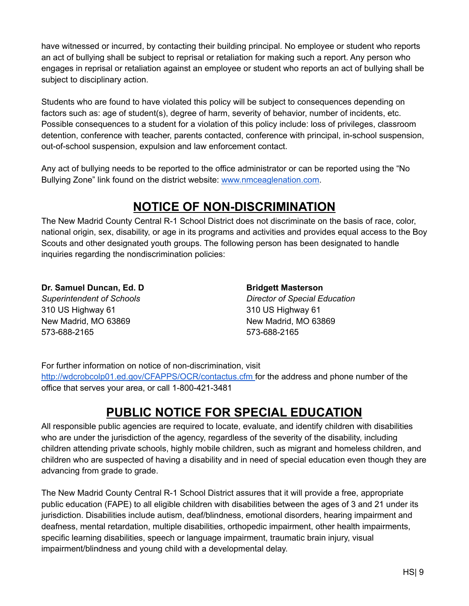have witnessed or incurred, by contacting their building principal. No employee or student who reports an act of bullying shall be subject to reprisal or retaliation for making such a report. Any person who engages in reprisal or retaliation against an employee or student who reports an act of bullying shall be subject to disciplinary action.

Students who are found to have violated this policy will be subject to consequences depending on factors such as: age of student(s), degree of harm, severity of behavior, number of incidents, etc. Possible consequences to a student for a violation of this policy include: loss of privileges, classroom detention, conference with teacher, parents contacted, conference with principal, in-school suspension, out-of-school suspension, expulsion and law enforcement contact.

<span id="page-9-0"></span>Any act of bullying needs to be reported to the office administrator or can be reported using the "No Bullying Zone" link found on the district website: [www.nmceaglenation.com.](http://www.nmceaglenation.com)

# **NOTICE OF NON-DISCRIMINATION**

The New Madrid County Central R-1 School District does not discriminate on the basis of race, color, national origin, sex, disability, or age in its programs and activities and provides equal access to the Boy Scouts and other designated youth groups. The following person has been designated to handle inquiries regarding the nondiscrimination policies:

**Dr. Samuel Duncan, Ed. D** *Superintendent of Schools* 310 US Highway 61 New Madrid, MO 63869 573-688-2165

**Bridgett Masterson** *Director of Special Education*

310 US Highway 61 New Madrid, MO 63869 573-688-2165

For further information on notice of non-discrimination, visit <http://wdcrobcolp01.ed.gov/CFAPPS/OCR/contactus.cfm> for the address and phone number of the office that serves your area, or call 1-800-421-3481

# **PUBLIC NOTICE FOR SPECIAL EDUCATION**

<span id="page-9-1"></span>All responsible public agencies are required to locate, evaluate, and identify children with disabilities who are under the jurisdiction of the agency, regardless of the severity of the disability, including children attending private schools, highly mobile children, such as migrant and homeless children, and children who are suspected of having a disability and in need of special education even though they are advancing from grade to grade.

The New Madrid County Central R-1 School District assures that it will provide a free, appropriate public education (FAPE) to all eligible children with disabilities between the ages of 3 and 21 under its jurisdiction. Disabilities include autism, deaf/blindness, emotional disorders, hearing impairment and deafness, mental retardation, multiple disabilities, orthopedic impairment, other health impairments, specific learning disabilities, speech or language impairment, traumatic brain injury, visual impairment/blindness and young child with a developmental delay.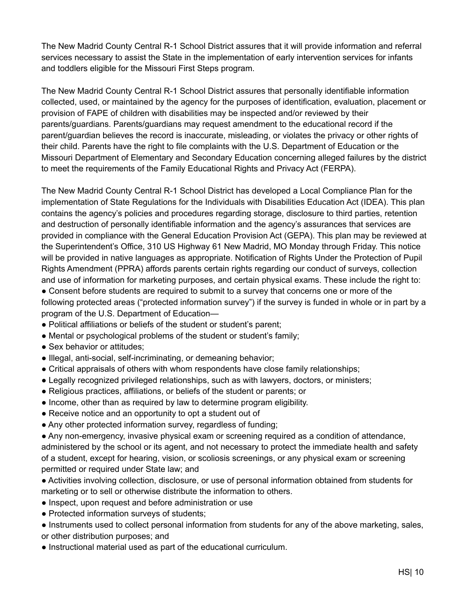The New Madrid County Central R-1 School District assures that it will provide information and referral services necessary to assist the State in the implementation of early intervention services for infants and toddlers eligible for the Missouri First Steps program.

The New Madrid County Central R-1 School District assures that personally identifiable information collected, used, or maintained by the agency for the purposes of identification, evaluation, placement or provision of FAPE of children with disabilities may be inspected and/or reviewed by their parents/guardians. Parents/guardians may request amendment to the educational record if the parent/guardian believes the record is inaccurate, misleading, or violates the privacy or other rights of their child. Parents have the right to file complaints with the U.S. Department of Education or the Missouri Department of Elementary and Secondary Education concerning alleged failures by the district to meet the requirements of the Family Educational Rights and Privacy Act (FERPA).

The New Madrid County Central R-1 School District has developed a Local Compliance Plan for the implementation of State Regulations for the Individuals with Disabilities Education Act (IDEA). This plan contains the agency's policies and procedures regarding storage, disclosure to third parties, retention and destruction of personally identifiable information and the agency's assurances that services are provided in compliance with the General Education Provision Act (GEPA). This plan may be reviewed at the Superintendent's Office, 310 US Highway 61 New Madrid, MO Monday through Friday. This notice will be provided in native languages as appropriate. Notification of Rights Under the Protection of Pupil Rights Amendment (PPRA) affords parents certain rights regarding our conduct of surveys, collection and use of information for marketing purposes, and certain physical exams. These include the right to: ● Consent before students are required to submit to a survey that concerns one or more of the

following protected areas ("protected information survey") if the survey is funded in whole or in part by a program of the U.S. Department of Education—

- Political affiliations or beliefs of the student or student's parent;
- Mental or psychological problems of the student or student's family;
- Sex behavior or attitudes;
- Illegal, anti-social, self-incriminating, or demeaning behavior;
- Critical appraisals of others with whom respondents have close family relationships;
- Legally recognized privileged relationships, such as with lawyers, doctors, or ministers;
- Religious practices, affiliations, or beliefs of the student or parents; or
- Income, other than as required by law to determine program eligibility.
- Receive notice and an opportunity to opt a student out of
- Any other protected information survey, regardless of funding;

● Any non-emergency, invasive physical exam or screening required as a condition of attendance, administered by the school or its agent, and not necessary to protect the immediate health and safety of a student, except for hearing, vision, or scoliosis screenings, or any physical exam or screening permitted or required under State law; and

● Activities involving collection, disclosure, or use of personal information obtained from students for marketing or to sell or otherwise distribute the information to others.

- Inspect, upon request and before administration or use
- Protected information surveys of students;
- Instruments used to collect personal information from students for any of the above marketing, sales, or other distribution purposes; and
- Instructional material used as part of the educational curriculum.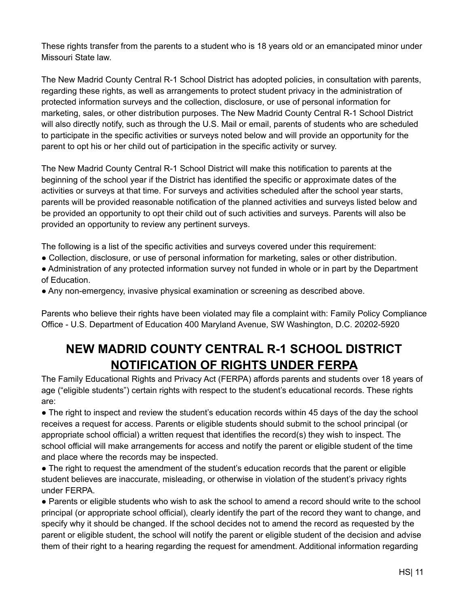These rights transfer from the parents to a student who is 18 years old or an emancipated minor under Missouri State law.

The New Madrid County Central R-1 School District has adopted policies, in consultation with parents, regarding these rights, as well as arrangements to protect student privacy in the administration of protected information surveys and the collection, disclosure, or use of personal information for marketing, sales, or other distribution purposes. The New Madrid County Central R-1 School District will also directly notify, such as through the U.S. Mail or email, parents of students who are scheduled to participate in the specific activities or surveys noted below and will provide an opportunity for the parent to opt his or her child out of participation in the specific activity or survey.

The New Madrid County Central R-1 School District will make this notification to parents at the beginning of the school year if the District has identified the specific or approximate dates of the activities or surveys at that time. For surveys and activities scheduled after the school year starts, parents will be provided reasonable notification of the planned activities and surveys listed below and be provided an opportunity to opt their child out of such activities and surveys. Parents will also be provided an opportunity to review any pertinent surveys.

The following is a list of the specific activities and surveys covered under this requirement:

● Collection, disclosure, or use of personal information for marketing, sales or other distribution.

● Administration of any protected information survey not funded in whole or in part by the Department of Education.

● Any non-emergency, invasive physical examination or screening as described above.

Parents who believe their rights have been violated may file a complaint with: Family Policy Compliance Office - U.S. Department of Education 400 Maryland Avenue, SW Washington, D.C. 20202-5920

# **NEW MADRID COUNTY CENTRAL R-1 SCHOOL DISTRICT NOTIFICATION OF RIGHTS UNDER FERPA**

<span id="page-11-0"></span>The Family Educational Rights and Privacy Act (FERPA) affords parents and students over 18 years of age ("eligible students") certain rights with respect to the student's educational records. These rights are:

• The right to inspect and review the student's education records within 45 days of the day the school receives a request for access. Parents or eligible students should submit to the school principal (or appropriate school official) a written request that identifies the record(s) they wish to inspect. The school official will make arrangements for access and notify the parent or eligible student of the time and place where the records may be inspected.

• The right to request the amendment of the student's education records that the parent or eligible student believes are inaccurate, misleading, or otherwise in violation of the student's privacy rights under FERPA.

• Parents or eligible students who wish to ask the school to amend a record should write to the school principal (or appropriate school official), clearly identify the part of the record they want to change, and specify why it should be changed. If the school decides not to amend the record as requested by the parent or eligible student, the school will notify the parent or eligible student of the decision and advise them of their right to a hearing regarding the request for amendment. Additional information regarding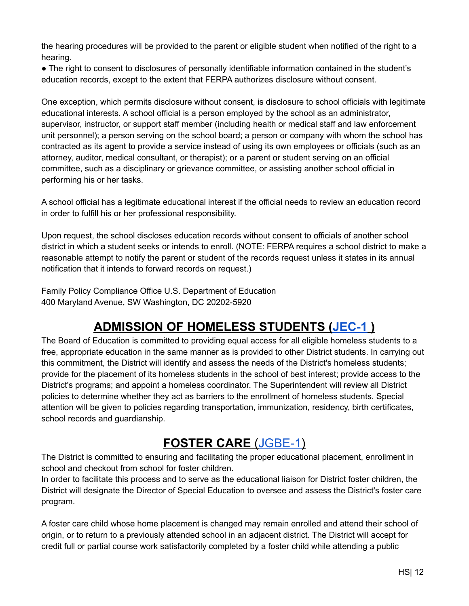the hearing procedures will be provided to the parent or eligible student when notified of the right to a hearing.

● The right to consent to disclosures of personally identifiable information contained in the student's education records, except to the extent that FERPA authorizes disclosure without consent.

One exception, which permits disclosure without consent, is disclosure to school officials with legitimate educational interests. A school official is a person employed by the school as an administrator, supervisor, instructor, or support staff member (including health or medical staff and law enforcement unit personnel); a person serving on the school board; a person or company with whom the school has contracted as its agent to provide a service instead of using its own employees or officials (such as an attorney, auditor, medical consultant, or therapist); or a parent or student serving on an official committee, such as a disciplinary or grievance committee, or assisting another school official in performing his or her tasks.

A school official has a legitimate educational interest if the official needs to review an education record in order to fulfill his or her professional responsibility.

Upon request, the school discloses education records without consent to officials of another school district in which a student seeks or intends to enroll. (NOTE: FERPA requires a school district to make a reasonable attempt to notify the parent or student of the records request unless it states in its annual notification that it intends to forward records on request.)

Family Policy Compliance Office U.S. Department of Education 400 Maryland Avenue, SW Washington, DC 20202-5920

# **ADMISSION OF HOMELESS STUDENTS [\(JEC-1](https://simbli.eboardsolutions.com/Policy/ViewPolicy.aspx?S=327&revid=zurMRwkEOE1BukIrwTyyHQ==&PG=6&st=homeless&mt=Exact) )**

<span id="page-12-0"></span>The Board of Education is committed to providing equal access for all eligible homeless students to a free, appropriate education in the same manner as is provided to other District students. In carrying out this commitment, the District will identify and assess the needs of the District's homeless students; provide for the placement of its homeless students in the school of best interest; provide access to the District's programs; and appoint a homeless coordinator. The Superintendent will review all District policies to determine whether they act as barriers to the enrollment of homeless students. Special attention will be given to policies regarding transportation, immunization, residency, birth certificates, school records and guardianship.

# **FOSTER CARE** ([JGBE-1\)](https://simbli.eboardsolutions.com/Policy/ViewPolicy.aspx?S=327&revid=2m5slsh0plusdUQRvXaATEtShwMw==&PG=6&st=foster%20care&mt=Exact)

<span id="page-12-1"></span>The District is committed to ensuring and facilitating the proper educational placement, enrollment in school and checkout from school for foster children.

In order to facilitate this process and to serve as the educational liaison for District foster children, the District will designate the Director of Special Education to oversee and assess the District's foster care program.

A foster care child whose home placement is changed may remain enrolled and attend their school of origin, or to return to a previously attended school in an adjacent district. The District will accept for credit full or partial course work satisfactorily completed by a foster child while attending a public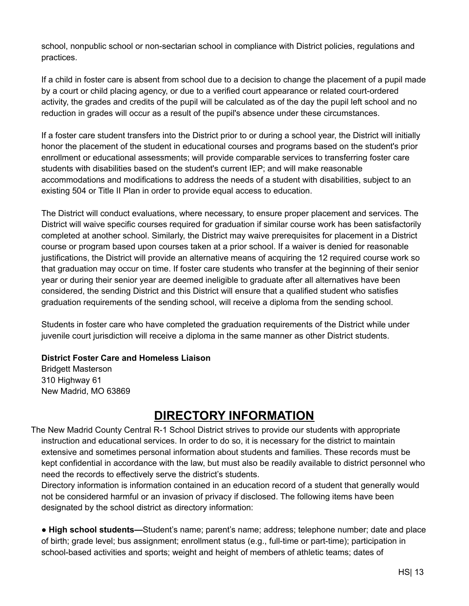school, nonpublic school or non-sectarian school in compliance with District policies, regulations and practices.

If a child in foster care is absent from school due to a decision to change the placement of a pupil made by a court or child placing agency, or due to a verified court appearance or related court-ordered activity, the grades and credits of the pupil will be calculated as of the day the pupil left school and no reduction in grades will occur as a result of the pupil's absence under these circumstances.

If a foster care student transfers into the District prior to or during a school year, the District will initially honor the placement of the student in educational courses and programs based on the student's prior enrollment or educational assessments; will provide comparable services to transferring foster care students with disabilities based on the student's current IEP; and will make reasonable accommodations and modifications to address the needs of a student with disabilities, subject to an existing 504 or Title II Plan in order to provide equal access to education.

The District will conduct evaluations, where necessary, to ensure proper placement and services. The District will waive specific courses required for graduation if similar course work has been satisfactorily completed at another school. Similarly, the District may waive prerequisites for placement in a District course or program based upon courses taken at a prior school. If a waiver is denied for reasonable justifications, the District will provide an alternative means of acquiring the 12 required course work so that graduation may occur on time. If foster care students who transfer at the beginning of their senior year or during their senior year are deemed ineligible to graduate after all alternatives have been considered, the sending District and this District will ensure that a qualified student who satisfies graduation requirements of the sending school, will receive a diploma from the sending school.

Students in foster care who have completed the graduation requirements of the District while under juvenile court jurisdiction will receive a diploma in the same manner as other District students.

#### **District Foster Care and Homeless Liaison**

Bridgett Masterson 310 Highway 61 New Madrid, MO 63869

# **DIRECTORY INFORMATION**

<span id="page-13-0"></span>The New Madrid County Central R-1 School District strives to provide our students with appropriate instruction and educational services. In order to do so, it is necessary for the district to maintain extensive and sometimes personal information about students and families. These records must be kept confidential in accordance with the law, but must also be readily available to district personnel who need the records to effectively serve the district's students.

Directory information is information contained in an education record of a student that generally would not be considered harmful or an invasion of privacy if disclosed. The following items have been designated by the school district as directory information:

● **High school students—**Student's name; parent's name; address; telephone number; date and place of birth; grade level; bus assignment; enrollment status (e.g., full-time or part-time); participation in school-based activities and sports; weight and height of members of athletic teams; dates of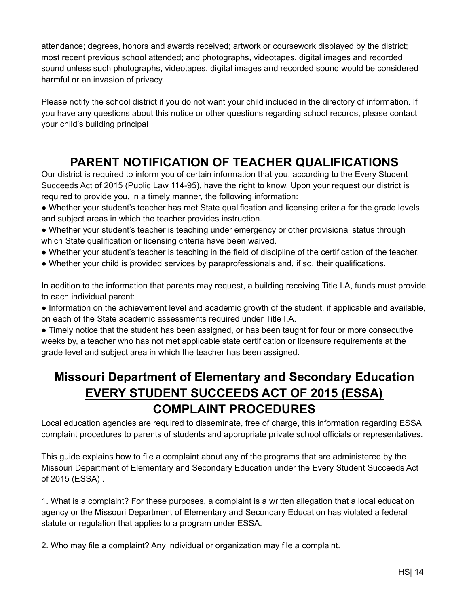attendance; degrees, honors and awards received; artwork or coursework displayed by the district; most recent previous school attended; and photographs, videotapes, digital images and recorded sound unless such photographs, videotapes, digital images and recorded sound would be considered harmful or an invasion of privacy.

Please notify the school district if you do not want your child included in the directory of information. If you have any questions about this notice or other questions regarding school records, please contact your child's building principal

# **PARENT NOTIFICATION OF TEACHER QUALIFICATIONS**

<span id="page-14-0"></span>Our district is required to inform you of certain information that you, according to the Every Student Succeeds Act of 2015 (Public Law 114-95), have the right to know. Upon your request our district is required to provide you, in a timely manner, the following information:

- Whether your student's teacher has met State qualification and licensing criteria for the grade levels and subject areas in which the teacher provides instruction.
- Whether your student's teacher is teaching under emergency or other provisional status through which State qualification or licensing criteria have been waived.
- Whether your student's teacher is teaching in the field of discipline of the certification of the teacher.
- Whether your child is provided services by paraprofessionals and, if so, their qualifications.

In addition to the information that parents may request, a building receiving Title I.A, funds must provide to each individual parent:

• Information on the achievement level and academic growth of the student, if applicable and available, on each of the State academic assessments required under Title I.A.

● Timely notice that the student has been assigned, or has been taught for four or more consecutive weeks by, a teacher who has not met applicable state certification or licensure requirements at the grade level and subject area in which the teacher has been assigned.

# <span id="page-14-1"></span>**Missouri Department of Elementary and Secondary Education EVERY STUDENT SUCCEEDS ACT OF 2015 (ESSA) COMPLAINT PROCEDURES**

Local education agencies are required to disseminate, free of charge, this information regarding ESSA complaint procedures to parents of students and appropriate private school officials or representatives.

This guide explains how to file a complaint about any of the programs that are administered by the Missouri Department of Elementary and Secondary Education under the Every Student Succeeds Act of 2015 (ESSA) .

1. What is a complaint? For these purposes, a complaint is a written allegation that a local education agency or the Missouri Department of Elementary and Secondary Education has violated a federal statute or regulation that applies to a program under ESSA.

2. Who may file a complaint? Any individual or organization may file a complaint.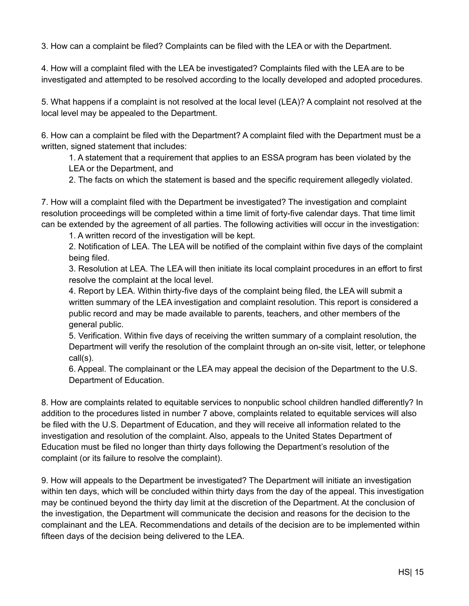3. How can a complaint be filed? Complaints can be filed with the LEA or with the Department.

4. How will a complaint filed with the LEA be investigated? Complaints filed with the LEA are to be investigated and attempted to be resolved according to the locally developed and adopted procedures.

5. What happens if a complaint is not resolved at the local level (LEA)? A complaint not resolved at the local level may be appealed to the Department.

6. How can a complaint be filed with the Department? A complaint filed with the Department must be a written, signed statement that includes:

1. A statement that a requirement that applies to an ESSA program has been violated by the LEA or the Department, and

2. The facts on which the statement is based and the specific requirement allegedly violated.

7. How will a complaint filed with the Department be investigated? The investigation and complaint resolution proceedings will be completed within a time limit of forty-five calendar days. That time limit can be extended by the agreement of all parties. The following activities will occur in the investigation:

1. A written record of the investigation will be kept.

2. Notification of LEA. The LEA will be notified of the complaint within five days of the complaint being filed.

3. Resolution at LEA. The LEA will then initiate its local complaint procedures in an effort to first resolve the complaint at the local level.

4. Report by LEA. Within thirty-five days of the complaint being filed, the LEA will submit a written summary of the LEA investigation and complaint resolution. This report is considered a public record and may be made available to parents, teachers, and other members of the general public.

5. Verification. Within five days of receiving the written summary of a complaint resolution, the Department will verify the resolution of the complaint through an on-site visit, letter, or telephone call(s).

6. Appeal. The complainant or the LEA may appeal the decision of the Department to the U.S. Department of Education.

8. How are complaints related to equitable services to nonpublic school children handled differently? In addition to the procedures listed in number 7 above, complaints related to equitable services will also be filed with the U.S. Department of Education, and they will receive all information related to the investigation and resolution of the complaint. Also, appeals to the United States Department of Education must be filed no longer than thirty days following the Department's resolution of the complaint (or its failure to resolve the complaint).

9. How will appeals to the Department be investigated? The Department will initiate an investigation within ten days, which will be concluded within thirty days from the day of the appeal. This investigation may be continued beyond the thirty day limit at the discretion of the Department. At the conclusion of the investigation, the Department will communicate the decision and reasons for the decision to the complainant and the LEA. Recommendations and details of the decision are to be implemented within fifteen days of the decision being delivered to the LEA.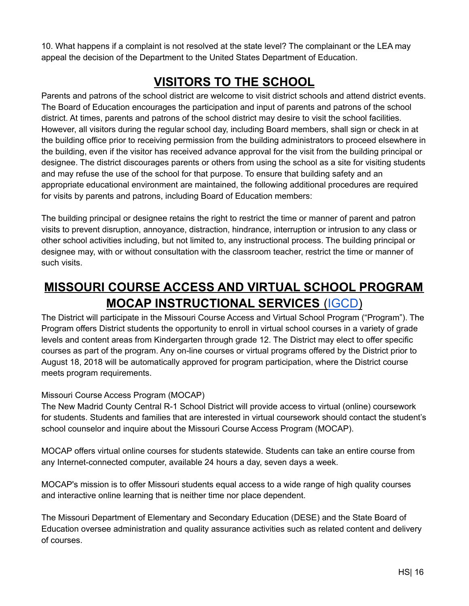10. What happens if a complaint is not resolved at the state level? The complainant or the LEA may appeal the decision of the Department to the United States Department of Education.

# **VISITORS TO THE SCHOOL**

<span id="page-16-0"></span>Parents and patrons of the school district are welcome to visit district schools and attend district events. The Board of Education encourages the participation and input of parents and patrons of the school district. At times, parents and patrons of the school district may desire to visit the school facilities. However, all visitors during the regular school day, including Board members, shall sign or check in at the building office prior to receiving permission from the building administrators to proceed elsewhere in the building, even if the visitor has received advance approval for the visit from the building principal or designee. The district discourages parents or others from using the school as a site for visiting students and may refuse the use of the school for that purpose. To ensure that building safety and an appropriate educational environment are maintained, the following additional procedures are required for visits by parents and patrons, including Board of Education members:

The building principal or designee retains the right to restrict the time or manner of parent and patron visits to prevent disruption, annoyance, distraction, hindrance, interruption or intrusion to any class or other school activities including, but not limited to, any instructional process. The building principal or designee may, with or without consultation with the classroom teacher, restrict the time or manner of such visits.

# <span id="page-16-1"></span>**MISSOURI COURSE ACCESS AND VIRTUAL SCHOOL PROGRAM MOCAP INSTRUCTIONAL SERVICES** [\(IGCD](https://simbli.eboardsolutions.com/Policy/ViewPolicy.aspx?S=327&revid=EALFCRheXMBfcuhmy4MU4g==&PG=6&st=mocap&mt=Exact))

The District will participate in the Missouri Course Access and Virtual School Program ("Program"). The Program offers District students the opportunity to enroll in virtual school courses in a variety of grade levels and content areas from Kindergarten through grade 12. The District may elect to offer specific courses as part of the program. Any on-line courses or virtual programs offered by the District prior to August 18, 2018 will be automatically approved for program participation, where the District course meets program requirements.

#### Missouri Course Access Program (MOCAP)

The New Madrid County Central R-1 School District will provide access to virtual (online) coursework for students. Students and families that are interested in virtual coursework should contact the student's school counselor and inquire about the Missouri Course Access Program (MOCAP).

MOCAP offers virtual online courses for students statewide. Students can take an entire course from any Internet-connected computer, available 24 hours a day, seven days a week.

MOCAP's mission is to offer Missouri students equal access to a wide range of high quality courses and interactive online learning that is neither time nor place dependent.

The Missouri Department of Elementary and Secondary Education (DESE) and the State Board of Education oversee administration and quality assurance activities such as related content and delivery of courses.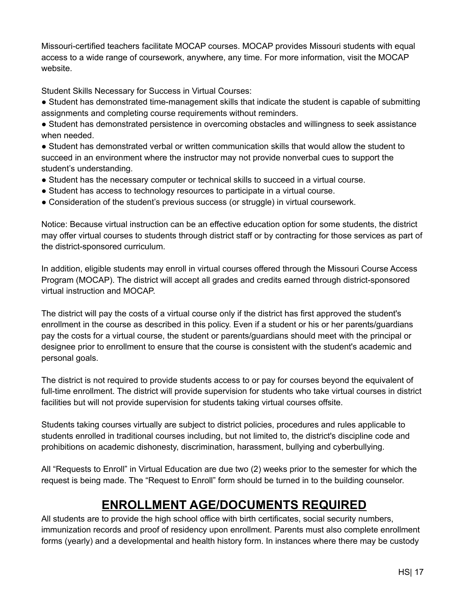Missouri-certified teachers facilitate MOCAP courses. MOCAP provides Missouri students with equal access to a wide range of coursework, anywhere, any time. For more information, visit the MOCAP website.

Student Skills Necessary for Success in Virtual Courses:

- Student has demonstrated time-management skills that indicate the student is capable of submitting assignments and completing course requirements without reminders.
- Student has demonstrated persistence in overcoming obstacles and willingness to seek assistance when needed.
- Student has demonstrated verbal or written communication skills that would allow the student to succeed in an environment where the instructor may not provide nonverbal cues to support the student's understanding.
- Student has the necessary computer or technical skills to succeed in a virtual course.
- Student has access to technology resources to participate in a virtual course.
- Consideration of the student's previous success (or struggle) in virtual coursework.

Notice: Because virtual instruction can be an effective education option for some students, the district may offer virtual courses to students through district staff or by contracting for those services as part of the district-sponsored curriculum.

In addition, eligible students may enroll in virtual courses offered through the Missouri Course Access Program (MOCAP). The district will accept all grades and credits earned through district-sponsored virtual instruction and MOCAP.

The district will pay the costs of a virtual course only if the district has first approved the student's enrollment in the course as described in this policy. Even if a student or his or her parents/guardians pay the costs for a virtual course, the student or parents/guardians should meet with the principal or designee prior to enrollment to ensure that the course is consistent with the student's academic and personal goals.

The district is not required to provide students access to or pay for courses beyond the equivalent of full-time enrollment. The district will provide supervision for students who take virtual courses in district facilities but will not provide supervision for students taking virtual courses offsite.

Students taking courses virtually are subject to district policies, procedures and rules applicable to students enrolled in traditional courses including, but not limited to, the district's discipline code and prohibitions on academic dishonesty, discrimination, harassment, bullying and cyberbullying.

All "Requests to Enroll" in Virtual Education are due two (2) weeks prior to the semester for which the request is being made. The "Request to Enroll" form should be turned in to the building counselor.

# **ENROLLMENT AGE/DOCUMENTS REQUIRED**

<span id="page-17-0"></span>All students are to provide the high school office with birth certificates, social security numbers, immunization records and proof of residency upon enrollment. Parents must also complete enrollment forms (yearly) and a developmental and health history form. In instances where there may be custody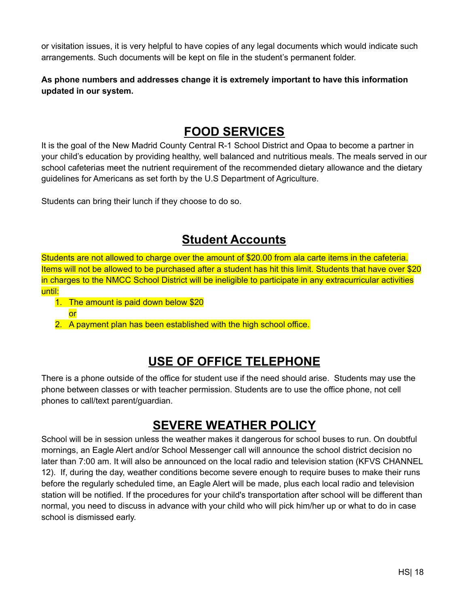or visitation issues, it is very helpful to have copies of any legal documents which would indicate such arrangements. Such documents will be kept on file in the student's permanent folder.

**As phone numbers and addresses change it is extremely important to have this information updated in our system.**

### **FOOD SERVICES**

<span id="page-18-0"></span>It is the goal of the New Madrid County Central R-1 School District and Opaa to become a partner in your child's education by providing healthy, well balanced and nutritious meals. The meals served in our school cafeterias meet the nutrient requirement of the recommended dietary allowance and the dietary guidelines for Americans as set forth by the U.S Department of Agriculture.

Students can bring their lunch if they choose to do so.

# **Student Accounts**

Students are not allowed to charge over the amount of \$20.00 from ala carte items in the cafeteria. Items will not be allowed to be purchased after a student has hit this limit. Students that have over \$20 in charges to the NMCC School District will be ineligible to participate in any extracurricular activities until:

- 1. The amount is paid down below \$20
	- or
- <span id="page-18-1"></span>2. A payment plan has been established with the high school office.

# **USE OF OFFICE TELEPHONE**

There is a phone outside of the office for student use if the need should arise. Students may use the phone between classes or with teacher permission. Students are to use the office phone, not cell phones to call/text parent/guardian.

# **SEVERE WEATHER POLICY**

<span id="page-18-2"></span>School will be in session unless the weather makes it dangerous for school buses to run. On doubtful mornings, an Eagle Alert and/or School Messenger call will announce the school district decision no later than 7:00 am. It will also be announced on the local radio and television station (KFVS CHANNEL 12). If, during the day, weather conditions become severe enough to require buses to make their runs before the regularly scheduled time, an Eagle Alert will be made, plus each local radio and television station will be notified. If the procedures for your child's transportation after school will be different than normal, you need to discuss in advance with your child who will pick him/her up or what to do in case school is dismissed early.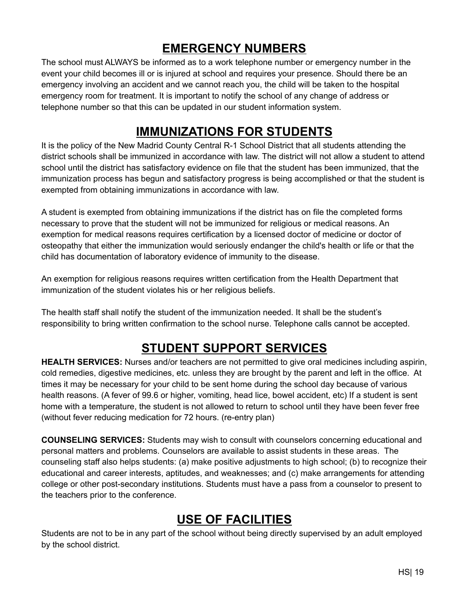# **EMERGENCY NUMBERS**

<span id="page-19-0"></span>The school must ALWAYS be informed as to a work telephone number or emergency number in the event your child becomes ill or is injured at school and requires your presence. Should there be an emergency involving an accident and we cannot reach you, the child will be taken to the hospital emergency room for treatment. It is important to notify the school of any change of address or telephone number so that this can be updated in our student information system.

# **IMMUNIZATIONS FOR STUDENTS**

<span id="page-19-1"></span>It is the policy of the New Madrid County Central R-1 School District that all students attending the district schools shall be immunized in accordance with law. The district will not allow a student to attend school until the district has satisfactory evidence on file that the student has been immunized, that the immunization process has begun and satisfactory progress is being accomplished or that the student is exempted from obtaining immunizations in accordance with law.

A student is exempted from obtaining immunizations if the district has on file the completed forms necessary to prove that the student will not be immunized for religious or medical reasons. An exemption for medical reasons requires certification by a licensed doctor of medicine or doctor of osteopathy that either the immunization would seriously endanger the child's health or life or that the child has documentation of laboratory evidence of immunity to the disease.

An exemption for religious reasons requires written certification from the Health Department that immunization of the student violates his or her religious beliefs.

The health staff shall notify the student of the immunization needed. It shall be the student's responsibility to bring written confirmation to the school nurse. Telephone calls cannot be accepted.

# **STUDENT SUPPORT SERVICES**

<span id="page-19-2"></span>**HEALTH SERVICES:** Nurses and/or teachers are not permitted to give oral medicines including aspirin, cold remedies, digestive medicines, etc. unless they are brought by the parent and left in the office. At times it may be necessary for your child to be sent home during the school day because of various health reasons. (A fever of 99.6 or higher, vomiting, head lice, bowel accident, etc) If a student is sent home with a temperature, the student is not allowed to return to school until they have been fever free (without fever reducing medication for 72 hours. (re-entry plan)

**COUNSELING SERVICES:** Students may wish to consult with counselors concerning educational and personal matters and problems. Counselors are available to assist students in these areas. The counseling staff also helps students: (a) make positive adjustments to high school; (b) to recognize their educational and career interests, aptitudes, and weaknesses; and (c) make arrangements for attending college or other post-secondary institutions. Students must have a pass from a counselor to present to the teachers prior to the conference.

# **USE OF FACILITIES**

<span id="page-19-3"></span>Students are not to be in any part of the school without being directly supervised by an adult employed by the school district.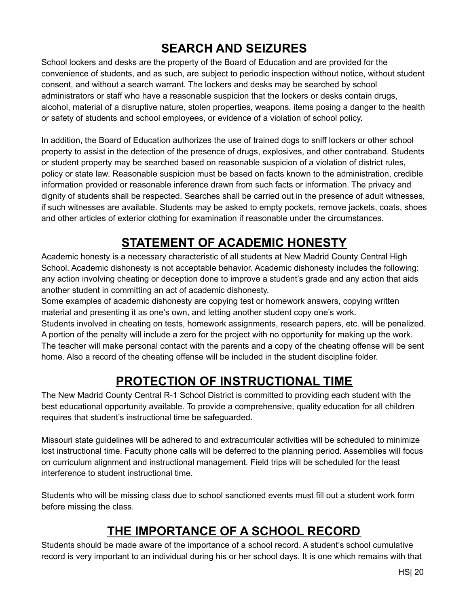# **SEARCH AND SEIZURES**

<span id="page-20-0"></span>School lockers and desks are the property of the Board of Education and are provided for the convenience of students, and as such, are subject to periodic inspection without notice, without student consent, and without a search warrant. The lockers and desks may be searched by school administrators or staff who have a reasonable suspicion that the lockers or desks contain drugs, alcohol, material of a disruptive nature, stolen properties, weapons, items posing a danger to the health or safety of students and school employees, or evidence of a violation of school policy.

In addition, the Board of Education authorizes the use of trained dogs to sniff lockers or other school property to assist in the detection of the presence of drugs, explosives, and other contraband. Students or student property may be searched based on reasonable suspicion of a violation of district rules, policy or state law. Reasonable suspicion must be based on facts known to the administration, credible information provided or reasonable inference drawn from such facts or information. The privacy and dignity of students shall be respected. Searches shall be carried out in the presence of adult witnesses, if such witnesses are available. Students may be asked to empty pockets, remove jackets, coats, shoes and other articles of exterior clothing for examination if reasonable under the circumstances.

# **STATEMENT OF ACADEMIC HONESTY**

<span id="page-20-1"></span>Academic honesty is a necessary characteristic of all students at New Madrid County Central High School. Academic dishonesty is not acceptable behavior. Academic dishonesty includes the following: any action involving cheating or deception done to improve a student's grade and any action that aids another student in committing an act of academic dishonesty.

Some examples of academic dishonesty are copying test or homework answers, copying written material and presenting it as one's own, and letting another student copy one's work.

Students involved in cheating on tests, homework assignments, research papers, etc. will be penalized. A portion of the penalty will include a zero for the project with no opportunity for making up the work. The teacher will make personal contact with the parents and a copy of the cheating offense will be sent home. Also a record of the cheating offense will be included in the student discipline folder.

# **PROTECTION OF INSTRUCTIONAL TIME**

<span id="page-20-2"></span>The New Madrid County Central R-1 School District is committed to providing each student with the best educational opportunity available. To provide a comprehensive, quality education for all children requires that student's instructional time be safeguarded.

Missouri state guidelines will be adhered to and extracurricular activities will be scheduled to minimize lost instructional time. Faculty phone calls will be deferred to the planning period. Assemblies will focus on curriculum alignment and instructional management. Field trips will be scheduled for the least interference to student instructional time.

Students who will be missing class due to school sanctioned events must fill out a student work form before missing the class.

# **THE IMPORTANCE OF A SCHOOL RECORD**

<span id="page-20-3"></span>Students should be made aware of the importance of a school record. A student's school cumulative record is very important to an individual during his or her school days. It is one which remains with that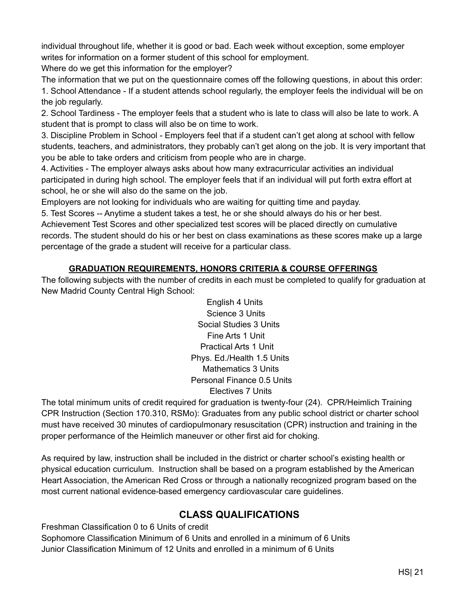individual throughout life, whether it is good or bad. Each week without exception, some employer writes for information on a former student of this school for employment.

Where do we get this information for the employer?

The information that we put on the questionnaire comes off the following questions, in about this order: 1. School Attendance - If a student attends school regularly, the employer feels the individual will be on the job regularly.

2. School Tardiness - The employer feels that a student who is late to class will also be late to work. A student that is prompt to class will also be on time to work.

3. Discipline Problem in School - Employers feel that if a student can't get along at school with fellow students, teachers, and administrators, they probably can't get along on the job. It is very important that you be able to take orders and criticism from people who are in charge.

4. Activities - The employer always asks about how many extracurricular activities an individual participated in during high school. The employer feels that if an individual will put forth extra effort at school, he or she will also do the same on the job.

Employers are not looking for individuals who are waiting for quitting time and payday.

5. Test Scores -- Anytime a student takes a test, he or she should always do his or her best. Achievement Test Scores and other specialized test scores will be placed directly on cumulative records. The student should do his or her best on class examinations as these scores make up a large percentage of the grade a student will receive for a particular class.

#### **GRADUATION REQUIREMENTS, HONORS CRITERIA & COURSE OFFERINGS**

The following subjects with the number of credits in each must be completed to qualify for graduation at New Madrid County Central High School:

> English 4 Units Science 3 Units Social Studies 3 Units Fine Arts 1 Unit Practical Arts 1 Unit Phys. Ed./Health 1.5 Units Mathematics 3 Units Personal Finance 0.5 Units Electives 7 Units

The total minimum units of credit required for graduation is twenty-four (24). CPR/Heimlich Training CPR Instruction (Section 170.310, RSMo): Graduates from any public school district or charter school must have received 30 minutes of cardiopulmonary resuscitation (CPR) instruction and training in the proper performance of the Heimlich maneuver or other first aid for choking.

As required by law, instruction shall be included in the district or charter school's existing health or physical education curriculum. Instruction shall be based on a program established by the American Heart Association, the American Red Cross or through a nationally recognized program based on the most current national evidence-based emergency cardiovascular care guidelines.

#### **CLASS QUALIFICATIONS**

Freshman Classification 0 to 6 Units of credit Sophomore Classification Minimum of 6 Units and enrolled in a minimum of 6 Units Junior Classification Minimum of 12 Units and enrolled in a minimum of 6 Units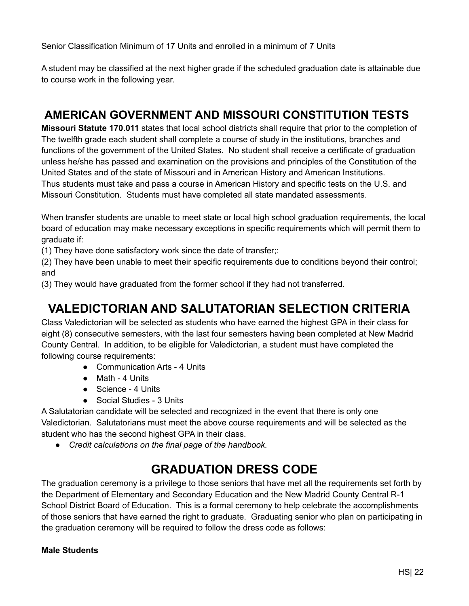Senior Classification Minimum of 17 Units and enrolled in a minimum of 7 Units

A student may be classified at the next higher grade if the scheduled graduation date is attainable due to course work in the following year.

### **AMERICAN GOVERNMENT AND MISSOURI CONSTITUTION TESTS**

**Missouri Statute 170.011** states that local school districts shall require that prior to the completion of The twelfth grade each student shall complete a course of study in the institutions, branches and functions of the government of the United States. No student shall receive a certificate of graduation unless he/she has passed and examination on the provisions and principles of the Constitution of the United States and of the state of Missouri and in American History and American Institutions. Thus students must take and pass a course in American History and specific tests on the U.S. and Missouri Constitution. Students must have completed all state mandated assessments.

When transfer students are unable to meet state or local high school graduation requirements, the local board of education may make necessary exceptions in specific requirements which will permit them to graduate if:

(1) They have done satisfactory work since the date of transfer;:

(2) They have been unable to meet their specific requirements due to conditions beyond their control; and

(3) They would have graduated from the former school if they had not transferred.

# **VALEDICTORIAN AND SALUTATORIAN SELECTION CRITERIA**

Class Valedictorian will be selected as students who have earned the highest GPA in their class for eight (8) consecutive semesters, with the last four semesters having been completed at New Madrid County Central. In addition, to be eligible for Valedictorian, a student must have completed the following course requirements:

- Communication Arts 4 Units
- Math 4 Units
- Science 4 Units
- Social Studies 3 Units

A Salutatorian candidate will be selected and recognized in the event that there is only one Valedictorian. Salutatorians must meet the above course requirements and will be selected as the student who has the second highest GPA in their class.

*● Credit calculations on the final page of the handbook.*

# **GRADUATION DRESS CODE**

The graduation ceremony is a privilege to those seniors that have met all the requirements set forth by the Department of Elementary and Secondary Education and the New Madrid County Central R-1 School District Board of Education. This is a formal ceremony to help celebrate the accomplishments of those seniors that have earned the right to graduate. Graduating senior who plan on participating in the graduation ceremony will be required to follow the dress code as follows:

#### **Male Students**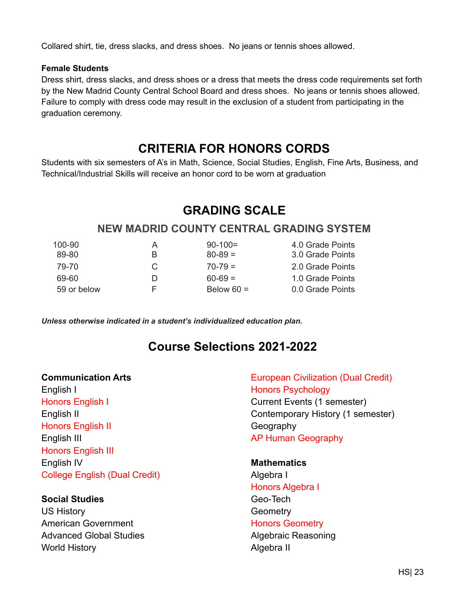Collared shirt, tie, dress slacks, and dress shoes. No jeans or tennis shoes allowed.

#### **Female Students**

Dress shirt, dress slacks, and dress shoes or a dress that meets the dress code requirements set forth by the New Madrid County Central School Board and dress shoes. No jeans or tennis shoes allowed. Failure to comply with dress code may result in the exclusion of a student from participating in the graduation ceremony.

#### **CRITERIA FOR HONORS CORDS**

<span id="page-23-0"></span>Students with six semesters of A's in Math, Science, Social Studies, English, Fine Arts, Business, and Technical/Industrial Skills will receive an honor cord to be worn at graduation

# **GRADING SCALE**

#### **NEW MADRID COUNTY CENTRAL GRADING SYSTEM**

| $100 - 90$  | A | $90-100=$    | 4.0 Grade Points |
|-------------|---|--------------|------------------|
| 89-80       | B | $80 - 89 =$  | 3.0 Grade Points |
| 79-70       | C | $70 - 79 =$  | 2.0 Grade Points |
| 69-60       | D | $60 - 69 =$  | 1.0 Grade Points |
| 59 or below | н | Below $60 =$ | 0.0 Grade Points |

*Unless otherwise indicated in a student's individualized education plan.*

#### **Course Selections 2021-2022**

#### **Communication Arts**

English I Honors English I English II Honors English II English III Honors English III English IV College English (Dual Credit)

#### **Social Studies**

US History American Government Advanced Global Studies World History

European Civilization (Dual Credit) Honors Psychology Current Events (1 semester) Contemporary History (1 semester) **Geography** AP Human Geography

**Mathematics** Algebra I Honors Algebra I Geo-Tech **Geometry** Honors Geometry Algebraic Reasoning Algebra II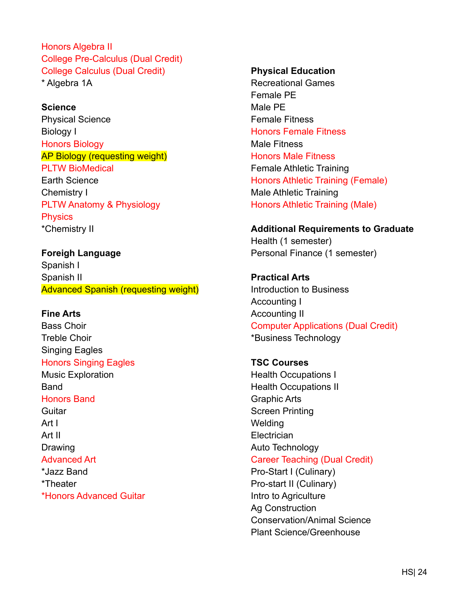Honors Algebra II College Pre-Calculus (Dual Credit) College Calculus (Dual Credit) \* Algebra 1A

#### **Science**

Physical Science Biology I Honors Biology AP Biology (requesting weight) PLTW BioMedical Earth Science Chemistry I PLTW Anatomy & Physiology **Physics** \*Chemistry II

**Foreigh Language** Spanish I Spanish II Advanced Spanish (requesting weight)

#### **Fine Arts**

Bass Choir Treble Choir Singing Eagles Honors Singing Eagles Music Exploration **Band** Honors Band **Guitar** Art I Art II Drawing Advanced Art \*Jazz Band \*Theater

\*Honors Advanced Guitar

#### **Physical Education**

Recreational Games Female PE Male PE Female Fitness Honors Female Fitness Male Fitness Honors Male Fitness Female Athletic Training Honors Athletic Training (Female) Male Athletic Training Honors Athletic Training (Male)

#### **Additional Requirements to Graduate**

Health (1 semester) Personal Finance (1 semester)

**Practical Arts** Introduction to Business Accounting I Accounting II Computer Applications (Dual Credit) \*Business Technology

**TSC Courses** Health Occupations I Health Occupations II Graphic Arts Screen Printing **Welding Electrician** Auto Technology Career Teaching (Dual Credit) Pro-Start I (Culinary) Pro-start II (Culinary) Intro to Agriculture Ag Construction Conservation/Animal Science Plant Science/Greenhouse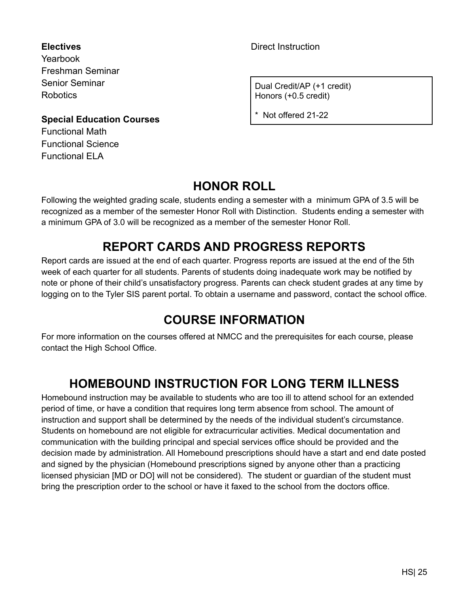**Electives** Yearbook Freshman Seminar Senior Seminar **Robotics** 

**Special Education Courses** Functional Math Functional Science Functional ELA

Direct Instruction

Dual Credit/AP (+1 credit) Honors (+0.5 credit)

\* Not offered 21-22

# **HONOR ROLL**

<span id="page-25-0"></span>Following the weighted grading scale, students ending a semester with a minimum GPA of 3.5 will be recognized as a member of the semester Honor Roll with Distinction. Students ending a semester with a minimum GPA of 3.0 will be recognized as a member of the semester Honor Roll.

# **REPORT CARDS AND PROGRESS REPORTS**

<span id="page-25-1"></span>Report cards are issued at the end of each quarter. Progress reports are issued at the end of the 5th week of each quarter for all students. Parents of students doing inadequate work may be notified by note or phone of their child's unsatisfactory progress. Parents can check student grades at any time by logging on to the Tyler SIS parent portal. To obtain a username and password, contact the school office.

# **COURSE INFORMATION**

<span id="page-25-2"></span>For more information on the courses offered at NMCC and the prerequisites for each course, please contact the High School Office.

# **HOMEBOUND INSTRUCTION FOR LONG TERM ILLNESS**

<span id="page-25-3"></span>Homebound instruction may be available to students who are too ill to attend school for an extended period of time, or have a condition that requires long term absence from school. The amount of instruction and support shall be determined by the needs of the individual student's circumstance. Students on homebound are not eligible for extracurricular activities. Medical documentation and communication with the building principal and special services office should be provided and the decision made by administration. All Homebound prescriptions should have a start and end date posted and signed by the physician (Homebound prescriptions signed by anyone other than a practicing licensed physician [MD or DO] will not be considered). The student or guardian of the student must bring the prescription order to the school or have it faxed to the school from the doctors office.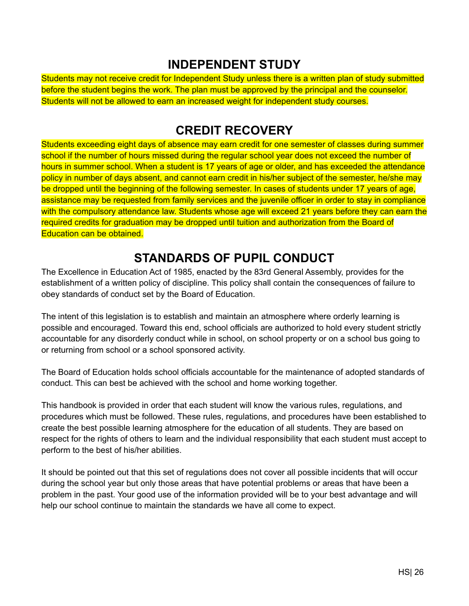#### **INDEPENDENT STUDY**

<span id="page-26-0"></span>Students may not receive credit for Independent Study unless there is a written plan of study submitted before the student begins the work. The plan must be approved by the principal and the counselor. Students will not be allowed to earn an increased weight for independent study courses.

# **CREDIT RECOVERY**

<span id="page-26-1"></span>Students exceeding eight days of absence may earn credit for one semester of classes during summer school if the number of hours missed during the regular school year does not exceed the number of hours in summer school. When a student is 17 years of age or older, and has exceeded the attendance policy in number of days absent, and cannot earn credit in his/her subject of the semester, he/she may be dropped until the beginning of the following semester. In cases of students under 17 years of age, assistance may be requested from family services and the juvenile officer in order to stay in compliance with the compulsory attendance law. Students whose age will exceed 21 years before they can earn the required credits for graduation may be dropped until tuition and authorization from the Board of Education can be obtained.

# **STANDARDS OF PUPIL CONDUCT**

<span id="page-26-2"></span>The Excellence in Education Act of 1985, enacted by the 83rd General Assembly, provides for the establishment of a written policy of discipline. This policy shall contain the consequences of failure to obey standards of conduct set by the Board of Education.

The intent of this legislation is to establish and maintain an atmosphere where orderly learning is possible and encouraged. Toward this end, school officials are authorized to hold every student strictly accountable for any disorderly conduct while in school, on school property or on a school bus going to or returning from school or a school sponsored activity.

The Board of Education holds school officials accountable for the maintenance of adopted standards of conduct. This can best be achieved with the school and home working together.

This handbook is provided in order that each student will know the various rules, regulations, and procedures which must be followed. These rules, regulations, and procedures have been established to create the best possible learning atmosphere for the education of all students. They are based on respect for the rights of others to learn and the individual responsibility that each student must accept to perform to the best of his/her abilities.

It should be pointed out that this set of regulations does not cover all possible incidents that will occur during the school year but only those areas that have potential problems or areas that have been a problem in the past. Your good use of the information provided will be to your best advantage and will help our school continue to maintain the standards we have all come to expect.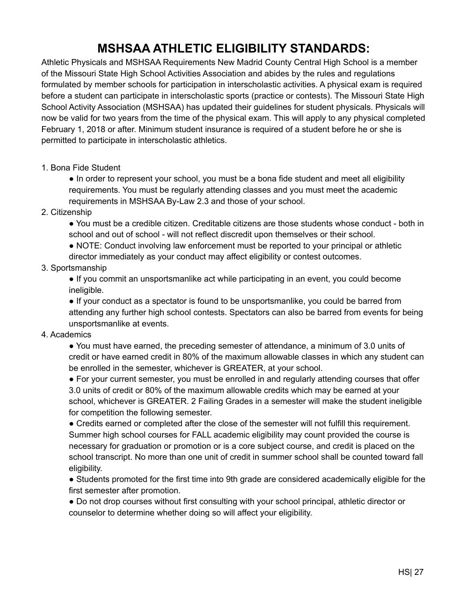# **MSHSAA ATHLETIC ELIGIBILITY STANDARDS:**

<span id="page-27-0"></span>Athletic Physicals and MSHSAA Requirements New Madrid County Central High School is a member of the Missouri State High School Activities Association and abides by the rules and regulations formulated by member schools for participation in interscholastic activities. A physical exam is required before a student can participate in interscholastic sports (practice or contests). The Missouri State High School Activity Association (MSHSAA) has updated their guidelines for student physicals. Physicals will now be valid for two years from the time of the physical exam. This will apply to any physical completed February 1, 2018 or after. Minimum student insurance is required of a student before he or she is permitted to participate in interscholastic athletics.

1. Bona Fide Student

• In order to represent your school, you must be a bona fide student and meet all eligibility requirements. You must be regularly attending classes and you must meet the academic requirements in MSHSAA By-Law 2.3 and those of your school.

2. Citizenship

● You must be a credible citizen. Creditable citizens are those students whose conduct - both in school and out of school - will not reflect discredit upon themselves or their school.

● NOTE: Conduct involving law enforcement must be reported to your principal or athletic director immediately as your conduct may affect eligibility or contest outcomes.

#### 3. Sportsmanship

● If you commit an unsportsmanlike act while participating in an event, you could become ineligible.

● If your conduct as a spectator is found to be unsportsmanlike, you could be barred from attending any further high school contests. Spectators can also be barred from events for being unsportsmanlike at events.

#### 4. Academics

● You must have earned, the preceding semester of attendance, a minimum of 3.0 units of credit or have earned credit in 80% of the maximum allowable classes in which any student can be enrolled in the semester, whichever is GREATER, at your school.

● For your current semester, you must be enrolled in and regularly attending courses that offer 3.0 units of credit or 80% of the maximum allowable credits which may be earned at your school, whichever is GREATER. 2 Failing Grades in a semester will make the student ineligible for competition the following semester.

● Credits earned or completed after the close of the semester will not fulfill this requirement. Summer high school courses for FALL academic eligibility may count provided the course is necessary for graduation or promotion or is a core subject course, and credit is placed on the school transcript. No more than one unit of credit in summer school shall be counted toward fall eligibility.

● Students promoted for the first time into 9th grade are considered academically eligible for the first semester after promotion.

● Do not drop courses without first consulting with your school principal, athletic director or counselor to determine whether doing so will affect your eligibility.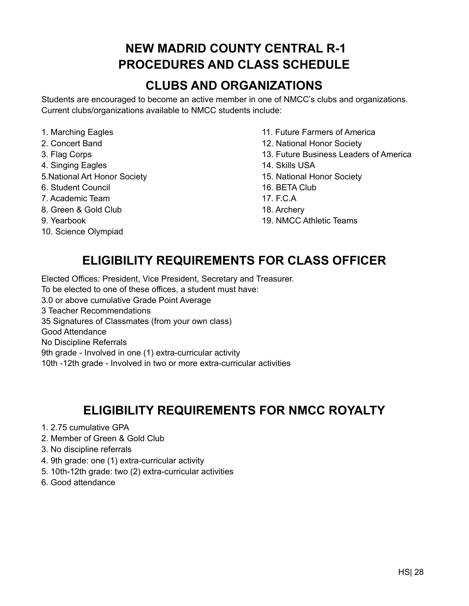# **NEW MADRID COUNTY CENTRAL R-1 PROCEDURES AND CLASS SCHEDULE**

# **CLUBS AND ORGANIZATIONS**

<span id="page-28-1"></span><span id="page-28-0"></span>Students are encouraged to become an active member in one of NMCC's clubs and organizations. Current clubs/organizations available to NMCC students include:

- 
- 
- 
- 4. Singing Eagles 14. Skills USA
- 5.National Art Honor Society 15. National Honor Society
- 6. Student Council 16. BETA Club
- 7. Academic Team 17. F.C.A
- 8. Green & Gold Club 18. Archery
- 
- <span id="page-28-2"></span>10. Science Olympiad
- 1. Marching Eagles 11. Future Farmers of America
- 2. Concert Band 12. National Honor Society
- 3. Flag Corps 13. Future Business Leaders of America
	-
	-
	-
	-
	-
- 9. Yearbook 19. NMCC Athletic Teams

# **ELIGIBILITY REQUIREMENTS FOR CLASS OFFICER**

Elected Offices: President, Vice President, Secretary and Treasurer.

To be elected to one of these offices, a student must have:

3.0 or above cumulative Grade Point Average

3 Teacher Recommendations

35 Signatures of Classmates (from your own class)

Good Attendance

No Discipline Referrals

9th grade - Involved in one (1) extra-curricular activity

10th -12th grade - Involved in two or more extra-curricular activities

# **ELIGIBILITY REQUIREMENTS FOR NMCC ROYALTY**

- <span id="page-28-3"></span>1. 2.75 cumulative GPA
- 2. Member of Green & Gold Club
- 3. No discipline referrals
- 4. 9th grade: one (1) extra-curricular activity
- 5. 10th-12th grade: two (2) extra-curricular activities
- 6. Good attendance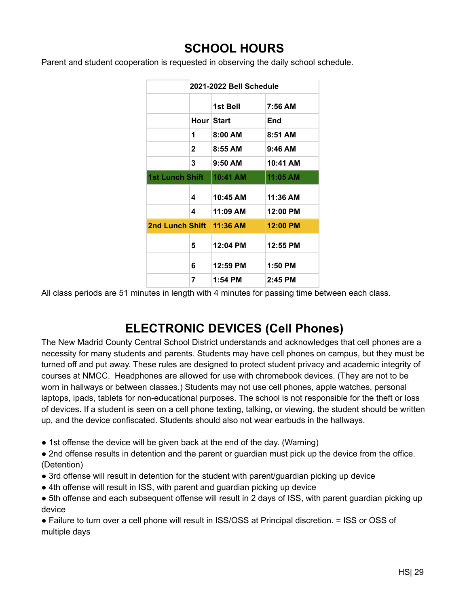# **SCHOOL HOURS**

<span id="page-29-0"></span>Parent and student cooperation is requested in observing the daily school schedule.

| 2021-2022 Bell Schedule |              |           |           |
|-------------------------|--------------|-----------|-----------|
|                         |              | 1st Bell  | 7:56 AM   |
|                         | Hour Start   |           | End       |
|                         | 1            | $8:00$ AM | $8:51$ AM |
|                         | $\mathbf{2}$ | $8:55$ AM | $9:46$ AM |
|                         | 3            | $9:50$ AM | 10:41 AM  |
| <b>1st Lunch Shift</b>  |              | 10:41 AM  | 11:05 AM  |
|                         | 4            | 10:45 AM  | 11:36 AM  |
|                         | 4            | 11:09 AM  | 12:00 PM  |
| <b>2nd Lunch Shift</b>  |              | 11:36 AM  | 12:00 PM  |
|                         | 5            | 12:04 PM  | 12:55 PM  |
|                         | 6            | 12:59 PM  | $1:50$ PM |
|                         | 7            | 1:54 PM   | 2:45 PM   |

All class periods are 51 minutes in length with 4 minutes for passing time between each class.

# **ELECTRONIC DEVICES (Cell Phones)**

<span id="page-29-1"></span>The New Madrid County Central School District understands and acknowledges that cell phones are a necessity for many students and parents. Students may have cell phones on campus, but they must be turned off and put away. These rules are designed to protect student privacy and academic integrity of courses at NMCC. Headphones are allowed for use with chromebook devices. (They are not to be worn in hallways or between classes.) Students may not use cell phones, apple watches, personal laptops, ipads, tablets for non-educational purposes. The school is not responsible for the theft or loss of devices. If a student is seen on a cell phone texting, talking, or viewing, the student should be written up, and the device confiscated. Students should also not wear earbuds in the hallways.

- 1st offense the device will be given back at the end of the day. (Warning)
- 2nd offense results in detention and the parent or guardian must pick up the device from the office. (Detention)
- 3rd offense will result in detention for the student with parent/guardian picking up device
- 4th offense will result in ISS, with parent and guardian picking up device
- 5th offense and each subsequent offense will result in 2 days of ISS, with parent quardian picking up device

● Failure to turn over a cell phone will result in ISS/OSS at Principal discretion. = ISS or OSS of multiple days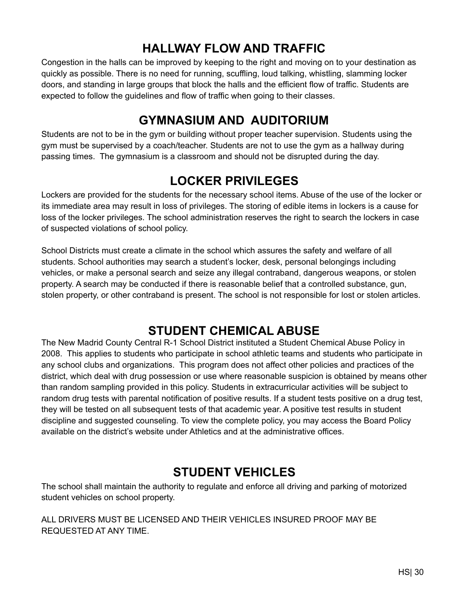# **HALLWAY FLOW AND TRAFFIC**

<span id="page-30-0"></span>Congestion in the halls can be improved by keeping to the right and moving on to your destination as quickly as possible. There is no need for running, scuffling, loud talking, whistling, slamming locker doors, and standing in large groups that block the halls and the efficient flow of traffic. Students are expected to follow the guidelines and flow of traffic when going to their classes.

# **GYMNASIUM AND AUDITORIUM**

<span id="page-30-1"></span>Students are not to be in the gym or building without proper teacher supervision. Students using the gym must be supervised by a coach/teacher. Students are not to use the gym as a hallway during passing times. The gymnasium is a classroom and should not be disrupted during the day.

# **LOCKER PRIVILEGES**

<span id="page-30-2"></span>Lockers are provided for the students for the necessary school items. Abuse of the use of the locker or its immediate area may result in loss of privileges. The storing of edible items in lockers is a cause for loss of the locker privileges. The school administration reserves the right to search the lockers in case of suspected violations of school policy.

School Districts must create a climate in the school which assures the safety and welfare of all students. School authorities may search a student's locker, desk, personal belongings including vehicles, or make a personal search and seize any illegal contraband, dangerous weapons, or stolen property. A search may be conducted if there is reasonable belief that a controlled substance, gun, stolen property, or other contraband is present. The school is not responsible for lost or stolen articles.

# **STUDENT CHEMICAL ABUSE**

<span id="page-30-3"></span>The New Madrid County Central R-1 School District instituted a Student Chemical Abuse Policy in 2008. This applies to students who participate in school athletic teams and students who participate in any school clubs and organizations. This program does not affect other policies and practices of the district, which deal with drug possession or use where reasonable suspicion is obtained by means other than random sampling provided in this policy. Students in extracurricular activities will be subject to random drug tests with parental notification of positive results. If a student tests positive on a drug test, they will be tested on all subsequent tests of that academic year. A positive test results in student discipline and suggested counseling. To view the complete policy, you may access the Board Policy available on the district's website under Athletics and at the administrative offices.

### **STUDENT VEHICLES**

<span id="page-30-4"></span>The school shall maintain the authority to regulate and enforce all driving and parking of motorized student vehicles on school property.

ALL DRIVERS MUST BE LICENSED AND THEIR VEHICLES INSURED PROOF MAY BE REQUESTED AT ANY TIME.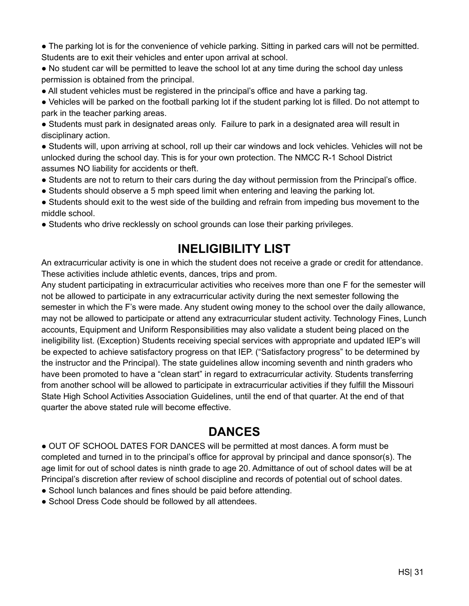● The parking lot is for the convenience of vehicle parking. Sitting in parked cars will not be permitted. Students are to exit their vehicles and enter upon arrival at school.

● No student car will be permitted to leave the school lot at any time during the school day unless permission is obtained from the principal.

● All student vehicles must be registered in the principal's office and have a parking tag.

● Vehicles will be parked on the football parking lot if the student parking lot is filled. Do not attempt to park in the teacher parking areas.

● Students must park in designated areas only. Failure to park in a designated area will result in disciplinary action.

● Students will, upon arriving at school, roll up their car windows and lock vehicles. Vehicles will not be unlocked during the school day. This is for your own protection. The NMCC R-1 School District assumes NO liability for accidents or theft.

- Students are not to return to their cars during the day without permission from the Principal's office.
- Students should observe a 5 mph speed limit when entering and leaving the parking lot.
- Students should exit to the west side of the building and refrain from impeding bus movement to the middle school.
- Students who drive recklessly on school grounds can lose their parking privileges.

# **INELIGIBILITY LIST**

<span id="page-31-0"></span>An extracurricular activity is one in which the student does not receive a grade or credit for attendance. These activities include athletic events, dances, trips and prom.

Any student participating in extracurricular activities who receives more than one F for the semester will not be allowed to participate in any extracurricular activity during the next semester following the semester in which the F's were made. Any student owing money to the school over the daily allowance, may not be allowed to participate or attend any extracurricular student activity. Technology Fines, Lunch accounts, Equipment and Uniform Responsibilities may also validate a student being placed on the ineligibility list. (Exception) Students receiving special services with appropriate and updated IEP's will be expected to achieve satisfactory progress on that IEP. ("Satisfactory progress" to be determined by the instructor and the Principal). The state guidelines allow incoming seventh and ninth graders who have been promoted to have a "clean start" in regard to extracurricular activity. Students transferring from another school will be allowed to participate in extracurricular activities if they fulfill the Missouri State High School Activities Association Guidelines, until the end of that quarter. At the end of that quarter the above stated rule will become effective.

# **DANCES**

<span id="page-31-1"></span>● OUT OF SCHOOL DATES FOR DANCES will be permitted at most dances. A form must be completed and turned in to the principal's office for approval by principal and dance sponsor(s). The age limit for out of school dates is ninth grade to age 20. Admittance of out of school dates will be at Principal's discretion after review of school discipline and records of potential out of school dates.

- School lunch balances and fines should be paid before attending.
- School Dress Code should be followed by all attendees.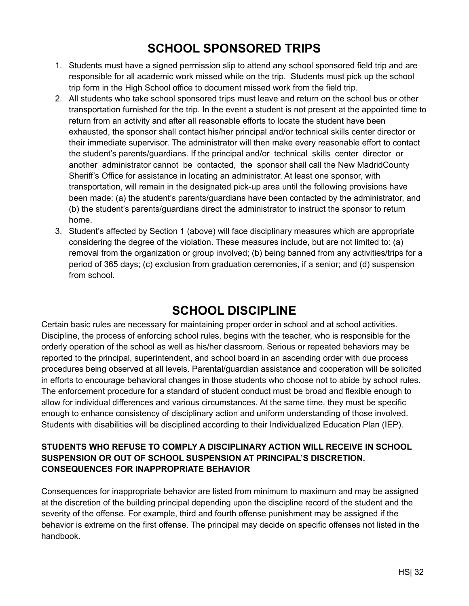# **SCHOOL SPONSORED TRIPS**

- <span id="page-32-0"></span>1. Students must have a signed permission slip to attend any school sponsored field trip and are responsible for all academic work missed while on the trip. Students must pick up the school trip form in the High School office to document missed work from the field trip.
- 2. All students who take school sponsored trips must leave and return on the school bus or other transportation furnished for the trip. In the event a student is not present at the appointed time to return from an activity and after all reasonable efforts to locate the student have been exhausted, the sponsor shall contact his/her principal and/or technical skills center director or their immediate supervisor. The administrator will then make every reasonable effort to contact the student's parents/guardians. If the principal and/or technical skills center director or another administrator cannot be contacted, the sponsor shall call the New MadridCounty Sheriff's Office for assistance in locating an administrator. At least one sponsor, with transportation, will remain in the designated pick-up area until the following provisions have been made: (a) the student's parents/guardians have been contacted by the administrator, and (b) the student's parents/guardians direct the administrator to instruct the sponsor to return home.
- 3. Student's affected by Section 1 (above) will face disciplinary measures which are appropriate considering the degree of the violation. These measures include, but are not limited to: (a) removal from the organization or group involved; (b) being banned from any activities/trips for a period of 365 days; (c) exclusion from graduation ceremonies, if a senior; and (d) suspension from school.

### **SCHOOL DISCIPLINE**

<span id="page-32-1"></span>Certain basic rules are necessary for maintaining proper order in school and at school activities. Discipline, the process of enforcing school rules, begins with the teacher, who is responsible for the orderly operation of the school as well as his/her classroom. Serious or repeated behaviors may be reported to the principal, superintendent, and school board in an ascending order with due process procedures being observed at all levels. Parental/guardian assistance and cooperation will be solicited in efforts to encourage behavioral changes in those students who choose not to abide by school rules. The enforcement procedure for a standard of student conduct must be broad and flexible enough to allow for individual differences and various circumstances. At the same time, they must be specific enough to enhance consistency of disciplinary action and uniform understanding of those involved. Students with disabilities will be disciplined according to their Individualized Education Plan (IEP).

#### **STUDENTS WHO REFUSE TO COMPLY A DISCIPLINARY ACTION WILL RECEIVE IN SCHOOL SUSPENSION OR OUT OF SCHOOL SUSPENSION AT PRINCIPAL'S DISCRETION. CONSEQUENCES FOR INAPPROPRIATE BEHAVIOR**

Consequences for inappropriate behavior are listed from minimum to maximum and may be assigned at the discretion of the building principal depending upon the discipline record of the student and the severity of the offense. For example, third and fourth offense punishment may be assigned if the behavior is extreme on the first offense. The principal may decide on specific offenses not listed in the handbook.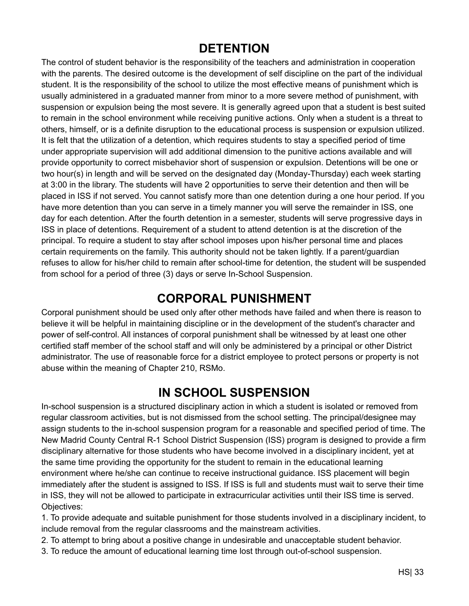### **DETENTION**

<span id="page-33-0"></span>The control of student behavior is the responsibility of the teachers and administration in cooperation with the parents. The desired outcome is the development of self discipline on the part of the individual student. It is the responsibility of the school to utilize the most effective means of punishment which is usually administered in a graduated manner from minor to a more severe method of punishment, with suspension or expulsion being the most severe. It is generally agreed upon that a student is best suited to remain in the school environment while receiving punitive actions. Only when a student is a threat to others, himself, or is a definite disruption to the educational process is suspension or expulsion utilized. It is felt that the utilization of a detention, which requires students to stay a specified period of time under appropriate supervision will add additional dimension to the punitive actions available and will provide opportunity to correct misbehavior short of suspension or expulsion. Detentions will be one or two hour(s) in length and will be served on the designated day (Monday-Thursday) each week starting at 3:00 in the library. The students will have 2 opportunities to serve their detention and then will be placed in ISS if not served. You cannot satisfy more than one detention during a one hour period. If you have more detention than you can serve in a timely manner you will serve the remainder in ISS, one day for each detention. After the fourth detention in a semester, students will serve progressive days in ISS in place of detentions. Requirement of a student to attend detention is at the discretion of the principal. To require a student to stay after school imposes upon his/her personal time and places certain requirements on the family. This authority should not be taken lightly. If a parent/guardian refuses to allow for his/her child to remain after school-time for detention, the student will be suspended from school for a period of three (3) days or serve In-School Suspension.

### **CORPORAL PUNISHMENT**

<span id="page-33-1"></span>Corporal punishment should be used only after other methods have failed and when there is reason to believe it will be helpful in maintaining discipline or in the development of the student's character and power of self-control. All instances of corporal punishment shall be witnessed by at least one other certified staff member of the school staff and will only be administered by a principal or other District administrator. The use of reasonable force for a district employee to protect persons or property is not abuse within the meaning of Chapter 210, RSMo.

### **IN SCHOOL SUSPENSION**

<span id="page-33-2"></span>In-school suspension is a structured disciplinary action in which a student is isolated or removed from regular classroom activities, but is not dismissed from the school setting. The principal/designee may assign students to the in-school suspension program for a reasonable and specified period of time. The New Madrid County Central R-1 School District Suspension (ISS) program is designed to provide a firm disciplinary alternative for those students who have become involved in a disciplinary incident, yet at the same time providing the opportunity for the student to remain in the educational learning environment where he/she can continue to receive instructional guidance. ISS placement will begin immediately after the student is assigned to ISS. If ISS is full and students must wait to serve their time in ISS, they will not be allowed to participate in extracurricular activities until their ISS time is served. Objectives:

1. To provide adequate and suitable punishment for those students involved in a disciplinary incident, to include removal from the regular classrooms and the mainstream activities.

2. To attempt to bring about a positive change in undesirable and unacceptable student behavior.

3. To reduce the amount of educational learning time lost through out-of-school suspension.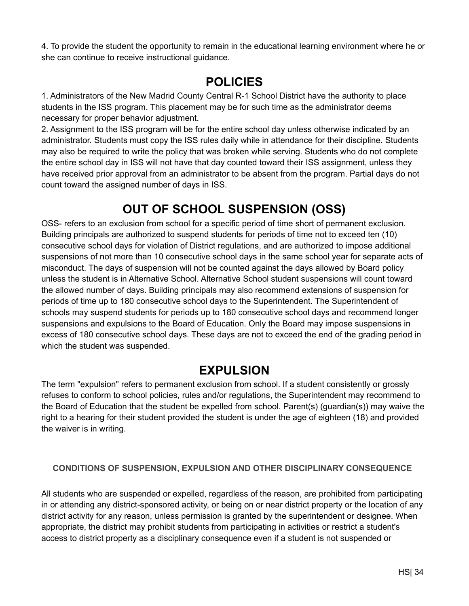4. To provide the student the opportunity to remain in the educational learning environment where he or she can continue to receive instructional guidance.

# **POLICIES**

<span id="page-34-0"></span>1. Administrators of the New Madrid County Central R-1 School District have the authority to place students in the ISS program. This placement may be for such time as the administrator deems necessary for proper behavior adjustment.

2. Assignment to the ISS program will be for the entire school day unless otherwise indicated by an administrator. Students must copy the ISS rules daily while in attendance for their discipline. Students may also be required to write the policy that was broken while serving. Students who do not complete the entire school day in ISS will not have that day counted toward their ISS assignment, unless they have received prior approval from an administrator to be absent from the program. Partial days do not count toward the assigned number of days in ISS.

# **OUT OF SCHOOL SUSPENSION (OSS)**

<span id="page-34-1"></span>OSS- refers to an exclusion from school for a specific period of time short of permanent exclusion. Building principals are authorized to suspend students for periods of time not to exceed ten (10) consecutive school days for violation of District regulations, and are authorized to impose additional suspensions of not more than 10 consecutive school days in the same school year for separate acts of misconduct. The days of suspension will not be counted against the days allowed by Board policy unless the student is in Alternative School. Alternative School student suspensions will count toward the allowed number of days. Building principals may also recommend extensions of suspension for periods of time up to 180 consecutive school days to the Superintendent. The Superintendent of schools may suspend students for periods up to 180 consecutive school days and recommend longer suspensions and expulsions to the Board of Education. Only the Board may impose suspensions in excess of 180 consecutive school days. These days are not to exceed the end of the grading period in which the student was suspended.

# **EXPULSION**

<span id="page-34-2"></span>The term "expulsion" refers to permanent exclusion from school. If a student consistently or grossly refuses to conform to school policies, rules and/or regulations, the Superintendent may recommend to the Board of Education that the student be expelled from school. Parent(s) (guardian(s)) may waive the right to a hearing for their student provided the student is under the age of eighteen (18) and provided the waiver is in writing.

#### **CONDITIONS OF SUSPENSION, EXPULSION AND OTHER DISCIPLINARY CONSEQUENCE**

All students who are suspended or expelled, regardless of the reason, are prohibited from participating in or attending any district-sponsored activity, or being on or near district property or the location of any district activity for any reason, unless permission is granted by the superintendent or designee. When appropriate, the district may prohibit students from participating in activities or restrict a student's access to district property as a disciplinary consequence even if a student is not suspended or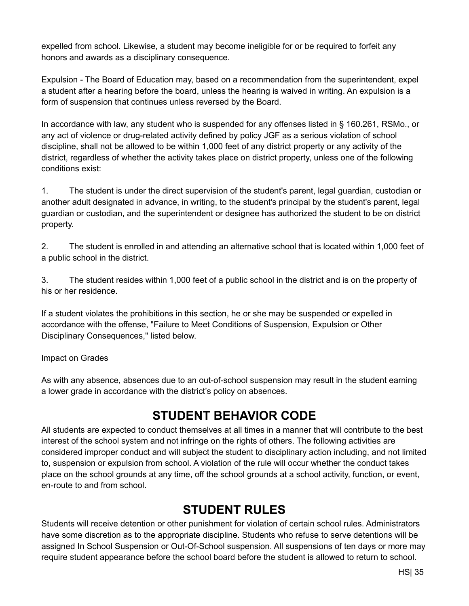expelled from school. Likewise, a student may become ineligible for or be required to forfeit any honors and awards as a disciplinary consequence.

Expulsion - The Board of Education may, based on a recommendation from the superintendent, expel a student after a hearing before the board, unless the hearing is waived in writing. An expulsion is a form of suspension that continues unless reversed by the Board.

In accordance with law, any student who is suspended for any offenses listed in § 160.261, RSMo., or any act of violence or drug-related activity defined by policy JGF as a serious violation of school discipline, shall not be allowed to be within 1,000 feet of any district property or any activity of the district, regardless of whether the activity takes place on district property, unless one of the following conditions exist:

1. The student is under the direct supervision of the student's parent, legal guardian, custodian or another adult designated in advance, in writing, to the student's principal by the student's parent, legal guardian or custodian, and the superintendent or designee has authorized the student to be on district property.

2. The student is enrolled in and attending an alternative school that is located within 1,000 feet of a public school in the district.

3. The student resides within 1,000 feet of a public school in the district and is on the property of his or her residence.

If a student violates the prohibitions in this section, he or she may be suspended or expelled in accordance with the offense, "Failure to Meet Conditions of Suspension, Expulsion or Other Disciplinary Consequences," listed below.

Impact on Grades

As with any absence, absences due to an out-of-school suspension may result in the student earning a lower grade in accordance with the district's policy on absences.

# **STUDENT BEHAVIOR CODE**

<span id="page-35-0"></span>All students are expected to conduct themselves at all times in a manner that will contribute to the best interest of the school system and not infringe on the rights of others. The following activities are considered improper conduct and will subject the student to disciplinary action including, and not limited to, suspension or expulsion from school. A violation of the rule will occur whether the conduct takes place on the school grounds at any time, off the school grounds at a school activity, function, or event, en-route to and from school.

### **STUDENT RULES**

<span id="page-35-1"></span>Students will receive detention or other punishment for violation of certain school rules. Administrators have some discretion as to the appropriate discipline. Students who refuse to serve detentions will be assigned In School Suspension or Out-Of-School suspension. All suspensions of ten days or more may require student appearance before the school board before the student is allowed to return to school.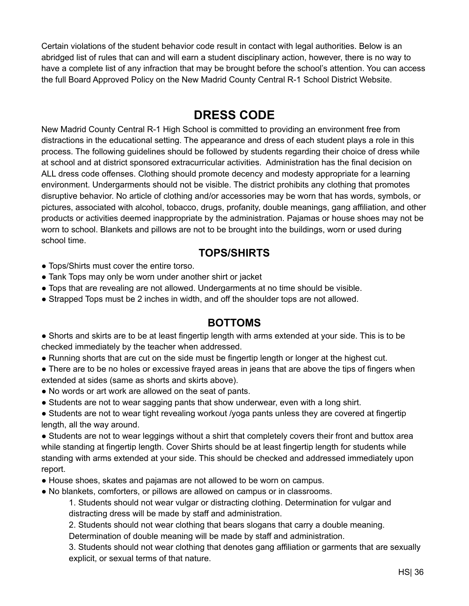Certain violations of the student behavior code result in contact with legal authorities. Below is an abridged list of rules that can and will earn a student disciplinary action, however, there is no way to have a complete list of any infraction that may be brought before the school's attention. You can access the full Board Approved Policy on the New Madrid County Central R-1 School District Website.

# **DRESS CODE**

<span id="page-36-0"></span>New Madrid County Central R-1 High School is committed to providing an environment free from distractions in the educational setting. The appearance and dress of each student plays a role in this process. The following guidelines should be followed by students regarding their choice of dress while at school and at district sponsored extracurricular activities. Administration has the final decision on ALL dress code offenses. Clothing should promote decency and modesty appropriate for a learning environment. Undergarments should not be visible. The district prohibits any clothing that promotes disruptive behavior. No article of clothing and/or accessories may be worn that has words, symbols, or pictures, associated with alcohol, tobacco, drugs, profanity, double meanings, gang affiliation, and other products or activities deemed inappropriate by the administration. Pajamas or house shoes may not be worn to school. Blankets and pillows are not to be brought into the buildings, worn or used during school time.

#### **TOPS/SHIRTS**

- Tops/Shirts must cover the entire torso.
- Tank Tops may only be worn under another shirt or jacket
- Tops that are revealing are not allowed. Undergarments at no time should be visible.
- Strapped Tops must be 2 inches in width, and off the shoulder tops are not allowed.

#### **BOTTOMS**

- Shorts and skirts are to be at least fingertip length with arms extended at your side. This is to be checked immediately by the teacher when addressed.
- Running shorts that are cut on the side must be fingertip length or longer at the highest cut.
- There are to be no holes or excessive frayed areas in jeans that are above the tips of fingers when extended at sides (same as shorts and skirts above).
- No words or art work are allowed on the seat of pants.
- Students are not to wear sagging pants that show underwear, even with a long shirt.
- Students are not to wear tight revealing workout /yoga pants unless they are covered at fingertip length, all the way around.

• Students are not to wear leggings without a shirt that completely covers their front and buttox area while standing at fingertip length. Cover Shirts should be at least fingertip length for students while standing with arms extended at your side. This should be checked and addressed immediately upon report.

- House shoes, skates and pajamas are not allowed to be worn on campus.
- No blankets, comforters, or pillows are allowed on campus or in classrooms.

1. Students should not wear vulgar or distracting clothing. Determination for vulgar and distracting dress will be made by staff and administration.

2. Students should not wear clothing that bears slogans that carry a double meaning.

Determination of double meaning will be made by staff and administration.

3. Students should not wear clothing that denotes gang affiliation or garments that are sexually explicit, or sexual terms of that nature.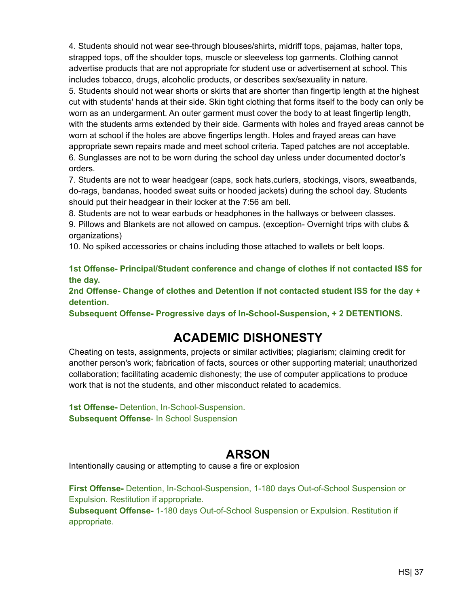4. Students should not wear see-through blouses/shirts, midriff tops, pajamas, halter tops, strapped tops, off the shoulder tops, muscle or sleeveless top garments. Clothing cannot advertise products that are not appropriate for student use or advertisement at school. This includes tobacco, drugs, alcoholic products, or describes sex/sexuality in nature.

5. Students should not wear shorts or skirts that are shorter than fingertip length at the highest cut with students' hands at their side. Skin tight clothing that forms itself to the body can only be worn as an undergarment. An outer garment must cover the body to at least fingertip length, with the students arms extended by their side. Garments with holes and frayed areas cannot be worn at school if the holes are above fingertips length. Holes and frayed areas can have appropriate sewn repairs made and meet school criteria. Taped patches are not acceptable. 6. Sunglasses are not to be worn during the school day unless under documented doctor's orders.

7. Students are not to wear headgear (caps, sock hats,curlers, stockings, visors, sweatbands, do-rags, bandanas, hooded sweat suits or hooded jackets) during the school day. Students should put their headgear in their locker at the 7:56 am bell.

8. Students are not to wear earbuds or headphones in the hallways or between classes.

9. Pillows and Blankets are not allowed on campus. (exception- Overnight trips with clubs & organizations)

10. No spiked accessories or chains including those attached to wallets or belt loops.

**1st Offense- Principal/Student conference and change of clothes if not contacted ISS for the day.**

**2nd Offense- Change of clothes and Detention if not contacted student ISS for the day + detention.**

**Subsequent Offense- Progressive days of In-School-Suspension, + 2 DETENTIONS.**

# **ACADEMIC DISHONESTY**

<span id="page-37-0"></span>Cheating on tests, assignments, projects or similar activities; plagiarism; claiming credit for another person's work; fabrication of facts, sources or other supporting material; unauthorized collaboration; facilitating academic dishonesty; the use of computer applications to produce work that is not the students, and other misconduct related to academics.

**1st Offense-** Detention, In-School-Suspension. **Subsequent Offense**- In School Suspension

### **ARSON**

<span id="page-37-1"></span>Intentionally causing or attempting to cause a fire or explosion

**First Offense-** Detention, In-School-Suspension, 1-180 days Out-of-School Suspension or Expulsion. Restitution if appropriate.

**Subsequent Offense-** 1-180 days Out-of-School Suspension or Expulsion. Restitution if appropriate.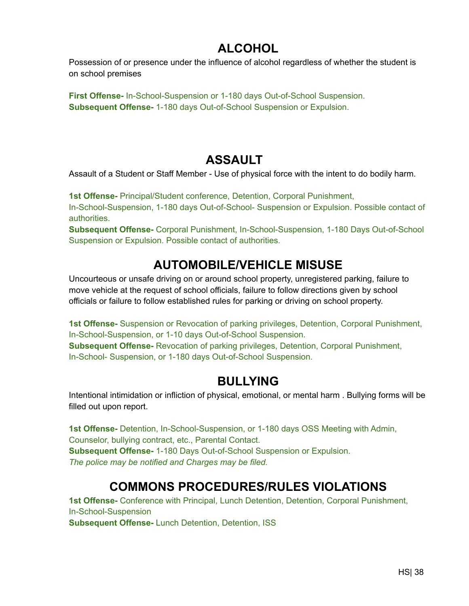# **ALCOHOL**

<span id="page-38-0"></span>Possession of or presence under the influence of alcohol regardless of whether the student is on school premises

**First Offense-** In-School-Suspension or 1-180 days Out-of-School Suspension. **Subsequent Offense-** 1-180 days Out-of-School Suspension or Expulsion.

# **ASSAULT**

<span id="page-38-1"></span>Assault of a Student or Staff Member - Use of physical force with the intent to do bodily harm.

**1st Offense-** Principal/Student conference, Detention, Corporal Punishment, In-School-Suspension, 1-180 days Out-of-School- Suspension or Expulsion. Possible contact of authorities.

**Subsequent Offense-** Corporal Punishment, In-School-Suspension, 1-180 Days Out-of-School Suspension or Expulsion. Possible contact of authorities.

# **AUTOMOBILE/VEHICLE MISUSE**

<span id="page-38-2"></span>Uncourteous or unsafe driving on or around school property, unregistered parking, failure to move vehicle at the request of school officials, failure to follow directions given by school officials or failure to follow established rules for parking or driving on school property.

**1st Offense-** Suspension or Revocation of parking privileges, Detention, Corporal Punishment, In-School-Suspension, or 1-10 days Out-of-School Suspension. **Subsequent Offense-** Revocation of parking privileges, Detention, Corporal Punishment, In-School- Suspension, or 1-180 days Out-of-School Suspension.

# **BULLYING**

<span id="page-38-3"></span>Intentional intimidation or infliction of physical, emotional, or mental harm . Bullying forms will be filled out upon report.

**1st Offense-** Detention, In-School-Suspension, or 1-180 days OSS Meeting with Admin, Counselor, bullying contract, etc., Parental Contact. **Subsequent Offense-** 1-180 Days Out-of-School Suspension or Expulsion. *The police may be notified and Charges may be filed.*

# **COMMONS PROCEDURES/RULES VIOLATIONS**

<span id="page-38-4"></span>**1st Offense-** Conference with Principal, Lunch Detention, Detention, Corporal Punishment, In-School-Suspension

**Subsequent Offense-** Lunch Detention, Detention, ISS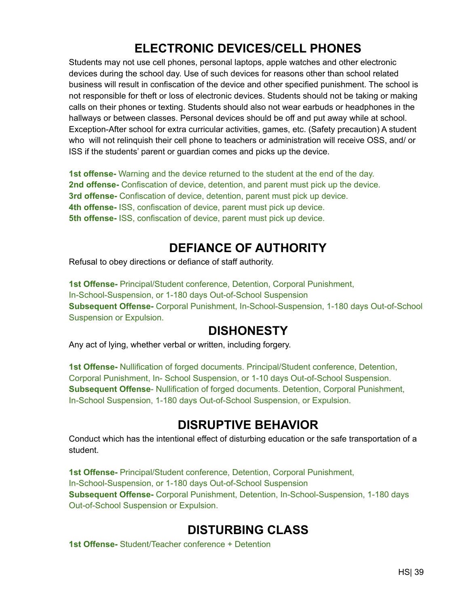# **ELECTRONIC DEVICES/CELL PHONES**

<span id="page-39-0"></span>Students may not use cell phones, personal laptops, apple watches and other electronic devices during the school day. Use of such devices for reasons other than school related business will result in confiscation of the device and other specified punishment. The school is not responsible for theft or loss of electronic devices. Students should not be taking or making calls on their phones or texting. Students should also not wear earbuds or headphones in the hallways or between classes. Personal devices should be off and put away while at school. Exception-After school for extra curricular activities, games, etc. (Safety precaution) A student who will not relinquish their cell phone to teachers or administration will receive OSS, and/ or ISS if the students' parent or guardian comes and picks up the device.

**1st offense-** Warning and the device returned to the student at the end of the day. **2nd offense-** Confiscation of device, detention, and parent must pick up the device. **3rd offense-** Confiscation of device, detention, parent must pick up device. **4th offense-** ISS, confiscation of device, parent must pick up device. **5th offense-** ISS, confiscation of device, parent must pick up device.

# **DEFIANCE OF AUTHORITY**

<span id="page-39-1"></span>Refusal to obey directions or defiance of staff authority.

**1st Offense-** Principal/Student conference, Detention, Corporal Punishment, In-School-Suspension, or 1-180 days Out-of-School Suspension **Subsequent Offense-** Corporal Punishment, In-School-Suspension, 1-180 days Out-of-School Suspension or Expulsion.

# **DISHONESTY**

<span id="page-39-2"></span>Any act of lying, whether verbal or written, including forgery.

**1st Offense-** Nullification of forged documents. Principal/Student conference, Detention, Corporal Punishment, In- School Suspension, or 1-10 days Out-of-School Suspension. **Subsequent Offense**- Nullification of forged documents. Detention, Corporal Punishment, In-School Suspension, 1-180 days Out-of-School Suspension, or Expulsion.

# **DISRUPTIVE BEHAVIOR**

<span id="page-39-3"></span>Conduct which has the intentional effect of disturbing education or the safe transportation of a student.

**1st Offense-** Principal/Student conference, Detention, Corporal Punishment, In-School-Suspension, or 1-180 days Out-of-School Suspension **Subsequent Offense-** Corporal Punishment, Detention, In-School-Suspension, 1-180 days Out-of-School Suspension or Expulsion.

# **DISTURBING CLASS**

<span id="page-39-4"></span>**1st Offense-** Student/Teacher conference + Detention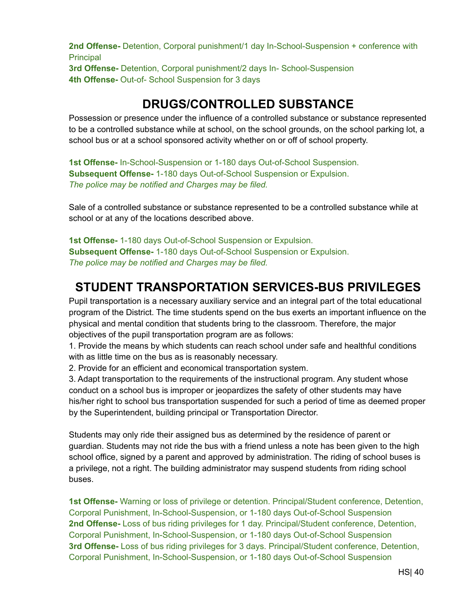**2nd Offense-** Detention, Corporal punishment/1 day In-School-Suspension + conference with **Principal** 

**3rd Offense-** Detention, Corporal punishment/2 days In- School-Suspension **4th Offense-** Out-of- School Suspension for 3 days

# **DRUGS/CONTROLLED SUBSTANCE**

<span id="page-40-0"></span>Possession or presence under the influence of a controlled substance or substance represented to be a controlled substance while at school, on the school grounds, on the school parking lot, a school bus or at a school sponsored activity whether on or off of school property.

**1st Offense-** In-School-Suspension or 1-180 days Out-of-School Suspension. **Subsequent Offense-** 1-180 days Out-of-School Suspension or Expulsion. *The police may be notified and Charges may be filed.*

Sale of a controlled substance or substance represented to be a controlled substance while at school or at any of the locations described above.

**1st Offense-** 1-180 days Out-of-School Suspension or Expulsion. **Subsequent Offense-** 1-180 days Out-of-School Suspension or Expulsion. *The police may be notified and Charges may be filed.*

# **STUDENT TRANSPORTATION SERVICES-BUS PRIVILEGES**

<span id="page-40-1"></span>Pupil transportation is a necessary auxiliary service and an integral part of the total educational program of the District. The time students spend on the bus exerts an important influence on the physical and mental condition that students bring to the classroom. Therefore, the major objectives of the pupil transportation program are as follows:

1. Provide the means by which students can reach school under safe and healthful conditions with as little time on the bus as is reasonably necessary.

2. Provide for an efficient and economical transportation system.

3. Adapt transportation to the requirements of the instructional program. Any student whose conduct on a school bus is improper or jeopardizes the safety of other students may have his/her right to school bus transportation suspended for such a period of time as deemed proper by the Superintendent, building principal or Transportation Director.

Students may only ride their assigned bus as determined by the residence of parent or guardian. Students may not ride the bus with a friend unless a note has been given to the high school office, signed by a parent and approved by administration. The riding of school buses is a privilege, not a right. The building administrator may suspend students from riding school buses.

**1st Offense-** Warning or loss of privilege or detention. Principal/Student conference, Detention, Corporal Punishment, In-School-Suspension, or 1-180 days Out-of-School Suspension **2nd Offense-** Loss of bus riding privileges for 1 day. Principal/Student conference, Detention, Corporal Punishment, In-School-Suspension, or 1-180 days Out-of-School Suspension **3rd Offense-** Loss of bus riding privileges for 3 days. Principal/Student conference, Detention, Corporal Punishment, In-School-Suspension, or 1-180 days Out-of-School Suspension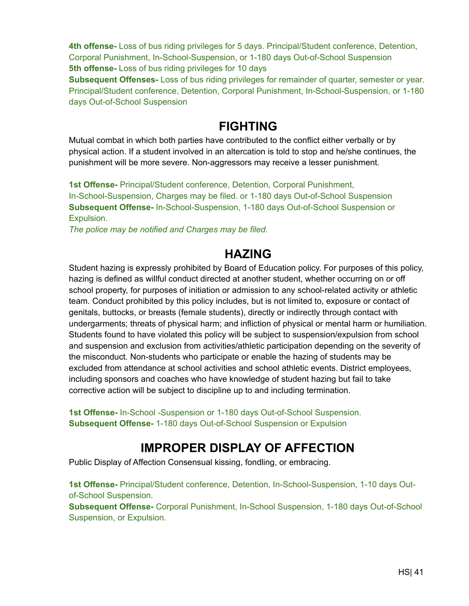**4th offense-** Loss of bus riding privileges for 5 days. Principal/Student conference, Detention, Corporal Punishment, In-School-Suspension, or 1-180 days Out-of-School Suspension **5th offense-** Loss of bus riding privileges for 10 days

**Subsequent Offenses-** Loss of bus riding privileges for remainder of quarter, semester or year. Principal/Student conference, Detention, Corporal Punishment, In-School-Suspension, or 1-180 days Out-of-School Suspension

#### **FIGHTING**

<span id="page-41-0"></span>Mutual combat in which both parties have contributed to the conflict either verbally or by physical action. If a student involved in an altercation is told to stop and he/she continues, the punishment will be more severe. Non-aggressors may receive a lesser punishment.

**1st Offense-** Principal/Student conference, Detention, Corporal Punishment, In-School-Suspension, Charges may be filed. or 1-180 days Out-of-School Suspension **Subsequent Offense-** In-School-Suspension, 1-180 days Out-of-School Suspension or Expulsion.

*The police may be notified and Charges may be filed.*

#### **HAZING**

<span id="page-41-1"></span>Student hazing is expressly prohibited by Board of Education policy. For purposes of this policy, hazing is defined as willful conduct directed at another student, whether occurring on or off school property, for purposes of initiation or admission to any school-related activity or athletic team. Conduct prohibited by this policy includes, but is not limited to, exposure or contact of genitals, buttocks, or breasts (female students), directly or indirectly through contact with undergarments; threats of physical harm; and infliction of physical or mental harm or humiliation. Students found to have violated this policy will be subject to suspension/expulsion from school and suspension and exclusion from activities/athletic participation depending on the severity of the misconduct. Non-students who participate or enable the hazing of students may be excluded from attendance at school activities and school athletic events. District employees, including sponsors and coaches who have knowledge of student hazing but fail to take corrective action will be subject to discipline up to and including termination.

**1st Offense-** In-School -Suspension or 1-180 days Out-of-School Suspension. **Subsequent Offense-** 1-180 days Out-of-School Suspension or Expulsion

# **IMPROPER DISPLAY OF AFFECTION**

<span id="page-41-2"></span>Public Display of Affection Consensual kissing, fondling, or embracing.

**1st Offense-** Principal/Student conference, Detention, In-School-Suspension, 1-10 days Outof-School Suspension.

**Subsequent Offense-** Corporal Punishment, In-School Suspension, 1-180 days Out-of-School Suspension, or Expulsion.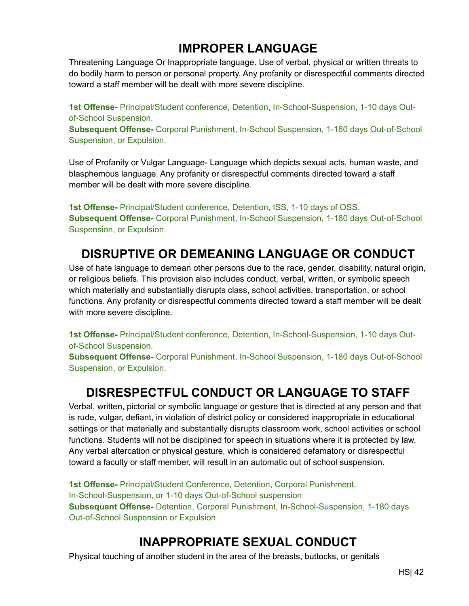# **IMPROPER LANGUAGE**

<span id="page-42-0"></span>Threatening Language Or Inappropriate language. Use of verbal, physical or written threats to do bodily harm to person or personal property. Any profanity or disrespectful comments directed toward a staff member will be dealt with more severe discipline.

**1st Offense-** Principal/Student conference, Detention, In-School-Suspension, 1-10 days Outof-School Suspension.

**Subsequent Offense-** Corporal Punishment, In-School Suspension, 1-180 days Out-of-School Suspension, or Expulsion.

Use of Profanity or Vulgar Language- Language which depicts sexual acts, human waste, and blasphemous language. Any profanity or disrespectful comments directed toward a staff member will be dealt with more severe discipline.

**1st Offense-** Principal/Student conference, Detention, ISS, 1-10 days of OSS. **Subsequent Offense-** Corporal Punishment, In-School Suspension, 1-180 days Out-of-School Suspension, or Expulsion.

# **DISRUPTIVE OR DEMEANING LANGUAGE OR CONDUCT**

<span id="page-42-1"></span>Use of hate language to demean other persons due to the race, gender, disability, natural origin, or religious beliefs. This provision also includes conduct, verbal, written, or symbolic speech which materially and substantially disrupts class, school activities, transportation, or school functions. Any profanity or disrespectful comments directed toward a staff member will be dealt with more severe discipline.

**1st Offense-** Principal/Student conference, Detention, In-School-Suspension, 1-10 days Outof-School Suspension.

**Subsequent Offense-** Corporal Punishment, In-School Suspension, 1-180 days Out-of-School Suspension, or Expulsion.

### **DISRESPECTFUL CONDUCT OR LANGUAGE TO STAFF**

<span id="page-42-2"></span>Verbal, written, pictorial or symbolic language or gesture that is directed at any person and that is rude, vulgar, defiant, in violation of district policy or considered inappropriate in educational settings or that materially and substantially disrupts classroom work, school activities or school functions. Students will not be disciplined for speech in situations where it is protected by law. Any verbal altercation or physical gesture, which is considered defamatory or disrespectful toward a faculty or staff member, will result in an automatic out of school suspension.

**1st Offense-** Principal/Student Conference, Detention, Corporal Punishment, In-School-Suspension, or 1-10 days Out-of-School suspension **Subsequent Offense-** Detention, Corporal Punishment, In-School-Suspension, 1-180 days Out-of-School Suspension or Expulsion

# **INAPPROPRIATE SEXUAL CONDUCT**

<span id="page-42-3"></span>Physical touching of another student in the area of the breasts, buttocks, or genitals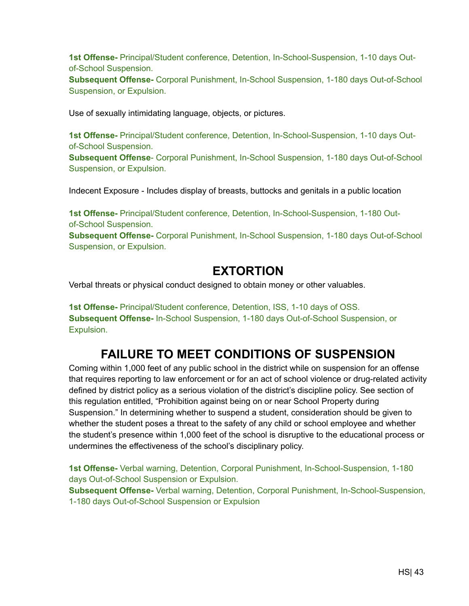**1st Offense-** Principal/Student conference, Detention, In-School-Suspension, 1-10 days Outof-School Suspension.

**Subsequent Offense-** Corporal Punishment, In-School Suspension, 1-180 days Out-of-School Suspension, or Expulsion.

Use of sexually intimidating language, objects, or pictures.

**1st Offense-** Principal/Student conference, Detention, In-School-Suspension, 1-10 days Outof-School Suspension.

**Subsequent Offense**- Corporal Punishment, In-School Suspension, 1-180 days Out-of-School Suspension, or Expulsion.

Indecent Exposure - Includes display of breasts, buttocks and genitals in a public location

**1st Offense-** Principal/Student conference, Detention, In-School-Suspension, 1-180 Outof-School Suspension.

**Subsequent Offense-** Corporal Punishment, In-School Suspension, 1-180 days Out-of-School Suspension, or Expulsion.

#### **EXTORTION**

<span id="page-43-0"></span>Verbal threats or physical conduct designed to obtain money or other valuables.

**1st Offense-** Principal/Student conference, Detention, ISS, 1-10 days of OSS. **Subsequent Offense-** In-School Suspension, 1-180 days Out-of-School Suspension, or Expulsion.

### **FAILURE TO MEET CONDITIONS OF SUSPENSION**

<span id="page-43-1"></span>Coming within 1,000 feet of any public school in the district while on suspension for an offense that requires reporting to law enforcement or for an act of school violence or drug-related activity defined by district policy as a serious violation of the district's discipline policy. See section of this regulation entitled, "Prohibition against being on or near School Property during Suspension." In determining whether to suspend a student, consideration should be given to whether the student poses a threat to the safety of any child or school employee and whether the student's presence within 1,000 feet of the school is disruptive to the educational process or undermines the effectiveness of the school's disciplinary policy.

**1st Offense-** Verbal warning, Detention, Corporal Punishment, In-School-Suspension, 1-180 days Out-of-School Suspension or Expulsion.

**Subsequent Offense-** Verbal warning, Detention, Corporal Punishment, In-School-Suspension, 1-180 days Out-of-School Suspension or Expulsion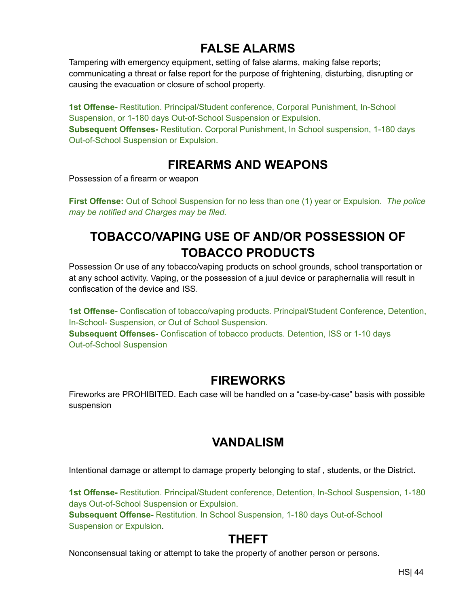# **FALSE ALARMS**

<span id="page-44-0"></span>Tampering with emergency equipment, setting of false alarms, making false reports; communicating a threat or false report for the purpose of frightening, disturbing, disrupting or causing the evacuation or closure of school property.

**1st Offense-** Restitution. Principal/Student conference, Corporal Punishment, In-School Suspension, or 1-180 days Out-of-School Suspension or Expulsion. **Subsequent Offenses-** Restitution. Corporal Punishment, In School suspension, 1-180 days Out-of-School Suspension or Expulsion.

# **FIREARMS AND WEAPONS**

<span id="page-44-1"></span>Possession of a firearm or weapon

**First Offense:** Out of School Suspension for no less than one (1) year or Expulsion. *The police may be notified and Charges may be filed.*

# **TOBACCO/VAPING USE OF AND/OR POSSESSION OF TOBACCO PRODUCTS**

<span id="page-44-2"></span>Possession Or use of any tobacco/vaping products on school grounds, school transportation or at any school activity. Vaping, or the possession of a juul device or paraphernalia will result in confiscation of the device and ISS.

**1st Offense-** Confiscation of tobacco/vaping products. Principal/Student Conference, Detention, In-School- Suspension, or Out of School Suspension. **Subsequent Offenses-** Confiscation of tobacco products. Detention, ISS or 1-10 days Out-of-School Suspension

#### **FIREWORKS**

<span id="page-44-3"></span>Fireworks are PROHIBITED. Each case will be handled on a "case-by-case" basis with possible suspension

# **VANDALISM**

Intentional damage or attempt to damage property belonging to staf , students, or the District.

**1st Offense-** Restitution. Principal/Student conference, Detention, In-School Suspension, 1-180 days Out-of-School Suspension or Expulsion. **Subsequent Offense-** Restitution. In School Suspension, 1-180 days Out-of-School Suspension or Expulsion.

# **THEFT**

<span id="page-44-4"></span>Nonconsensual taking or attempt to take the property of another person or persons.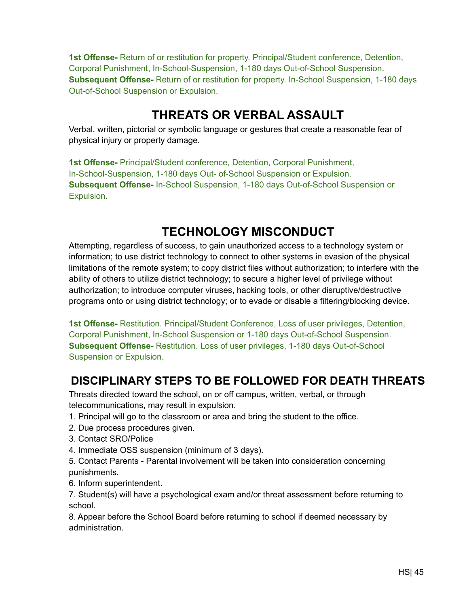**1st Offense-** Return of or restitution for property. Principal/Student conference, Detention, Corporal Punishment, In-School-Suspension, 1-180 days Out-of-School Suspension. **Subsequent Offense-** Return of or restitution for property. In-School Suspension, 1-180 days Out-of-School Suspension or Expulsion.

# **THREATS OR VERBAL ASSAULT**

<span id="page-45-0"></span>Verbal, written, pictorial or symbolic language or gestures that create a reasonable fear of physical injury or property damage.

**1st Offense-** Principal/Student conference, Detention, Corporal Punishment, In-School-Suspension, 1-180 days Out- of-School Suspension or Expulsion. **Subsequent Offense-** In-School Suspension, 1-180 days Out-of-School Suspension or Expulsion.

# **TECHNOLOGY MISCONDUCT**

Attempting, regardless of success, to gain unauthorized access to a technology system or information; to use district technology to connect to other systems in evasion of the physical limitations of the remote system; to copy district files without authorization; to interfere with the ability of others to utilize district technology; to secure a higher level of privilege without authorization; to introduce computer viruses, hacking tools, or other disruptive/destructive programs onto or using district technology; or to evade or disable a filtering/blocking device.

**1st Offense-** Restitution. Principal/Student Conference, Loss of user privileges, Detention, Corporal Punishment, In-School Suspension or 1-180 days Out-of-School Suspension. **Subsequent Offense-** Restitution. Loss of user privileges, 1-180 days Out-of-School Suspension or Expulsion.

#### <span id="page-45-1"></span>**DISCIPLINARY STEPS TO BE FOLLOWED FOR DEATH THREATS**

Threats directed toward the school, on or off campus, written, verbal, or through telecommunications, may result in expulsion.

- 1. Principal will go to the classroom or area and bring the student to the office.
- 2. Due process procedures given.
- 3. Contact SRO/Police
- 4. Immediate OSS suspension (minimum of 3 days).
- 5. Contact Parents Parental involvement will be taken into consideration concerning punishments.
- 6. Inform superintendent.

7. Student(s) will have a psychological exam and/or threat assessment before returning to school.

8. Appear before the School Board before returning to school if deemed necessary by administration.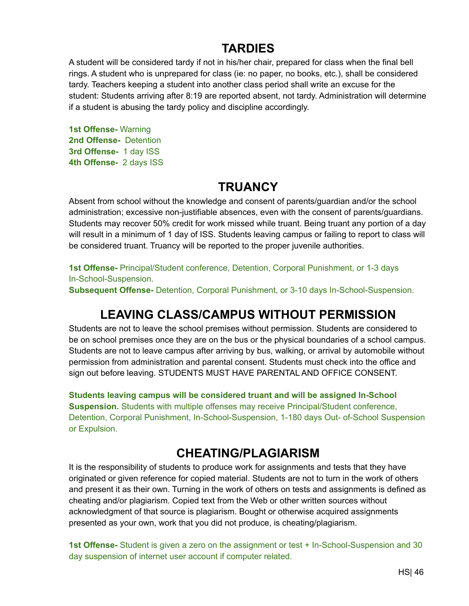#### **TARDIES**

<span id="page-46-0"></span>A student will be considered tardy if not in his/her chair, prepared for class when the final bell rings. A student who is unprepared for class (ie: no paper, no books, etc.), shall be considered tardy. Teachers keeping a student into another class period shall write an excuse for the student: Students arriving after 8:19 are reported absent, not tardy. Administration will determine if a student is abusing the tardy policy and discipline accordingly.

**1st Offense-** Warning **2nd Offense-** Detention **3rd Offense-** 1 day ISS **4th Offense-** 2 days ISS

#### **TRUANCY**

<span id="page-46-1"></span>Absent from school without the knowledge and consent of parents/guardian and/or the school administration; excessive non-justifiable absences, even with the consent of parents/guardians. Students may recover 50% credit for work missed while truant. Being truant any portion of a day will result in a minimum of 1 day of ISS. Students leaving campus or failing to report to class will be considered truant. Truancy will be reported to the proper juvenile authorities.

**1st Offense-** Principal/Student conference, Detention, Corporal Punishment, or 1-3 days In-School-Suspension.

**Subsequent Offense-** Detention, Corporal Punishment, or 3-10 days In-School-Suspension.

# **LEAVING CLASS/CAMPUS WITHOUT PERMISSION**

<span id="page-46-2"></span>Students are not to leave the school premises without permission. Students are considered to be on school premises once they are on the bus or the physical boundaries of a school campus. Students are not to leave campus after arriving by bus, walking, or arrival by automobile without permission from administration and parental consent. Students must check into the office and sign out before leaving. STUDENTS MUST HAVE PARENTAL AND OFFICE CONSENT.

**Students leaving campus will be considered truant and will be assigned In-School Suspension.** Students with multiple offenses may receive Principal/Student conference, Detention, Corporal Punishment, In-School-Suspension, 1-180 days Out- of-School Suspension or Expulsion.

### **CHEATING/PLAGIARISM**

<span id="page-46-3"></span>It is the responsibility of students to produce work for assignments and tests that they have originated or given reference for copied material. Students are not to turn in the work of others and present it as their own. Turning in the work of others on tests and assignments is defined as cheating and/or plagiarism. Copied text from the Web or other written sources without acknowledgment of that source is plagiarism. Bought or otherwise acquired assignments presented as your own, work that you did not produce, is cheating/plagiarism.

**1st Offense-** Student is given a zero on the assignment or test + In-School-Suspension and 30 day suspension of internet user account if computer related.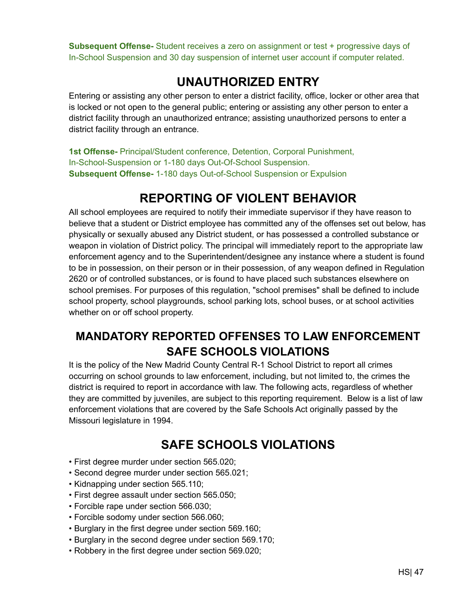**Subsequent Offense-** Student receives a zero on assignment or test + progressive days of In-School Suspension and 30 day suspension of internet user account if computer related.

# **UNAUTHORIZED ENTRY**

<span id="page-47-0"></span>Entering or assisting any other person to enter a district facility, office, locker or other area that is locked or not open to the general public; entering or assisting any other person to enter a district facility through an unauthorized entrance; assisting unauthorized persons to enter a district facility through an entrance.

**1st Offense-** Principal/Student conference, Detention, Corporal Punishment, In-School-Suspension or 1-180 days Out-Of-School Suspension. **Subsequent Offense-** 1-180 days Out-of-School Suspension or Expulsion

# **REPORTING OF VIOLENT BEHAVIOR**

<span id="page-47-1"></span>All school employees are required to notify their immediate supervisor if they have reason to believe that a student or District employee has committed any of the offenses set out below, has physically or sexually abused any District student, or has possessed a controlled substance or weapon in violation of District policy. The principal will immediately report to the appropriate law enforcement agency and to the Superintendent/designee any instance where a student is found to be in possession, on their person or in their possession, of any weapon defined in Regulation 2620 or of controlled substances, or is found to have placed such substances elsewhere on school premises. For purposes of this regulation, "school premises" shall be defined to include school property, school playgrounds, school parking lots, school buses, or at school activities whether on or off school property.

# <span id="page-47-2"></span>**MANDATORY REPORTED OFFENSES TO LAW ENFORCEMENT SAFE SCHOOLS VIOLATIONS**

It is the policy of the New Madrid County Central R-1 School District to report all crimes occurring on school grounds to law enforcement, including, but not limited to, the crimes the district is required to report in accordance with law. The following acts, regardless of whether they are committed by juveniles, are subject to this reporting requirement. Below is a list of law enforcement violations that are covered by the Safe Schools Act originally passed by the Missouri legislature in 1994.

# **SAFE SCHOOLS VIOLATIONS**

- <span id="page-47-3"></span>• First degree murder under section 565.020;
- Second degree murder under section 565.021;
- Kidnapping under section 565.110;
- First degree assault under section 565.050;
- Forcible rape under section 566.030;
- Forcible sodomy under section 566.060;
- Burglary in the first degree under section 569.160;
- Burglary in the second degree under section 569.170;
- Robbery in the first degree under section 569.020;